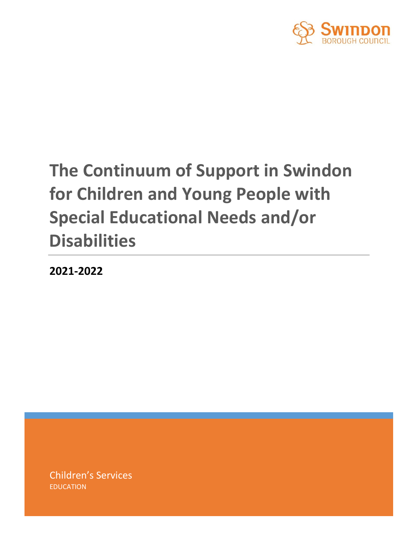

# **The Continuum of Support in Swindon for Children and Young People with Special Educational Needs and/or Disabilities**

**2021-2022**

Children's Services EDUCATION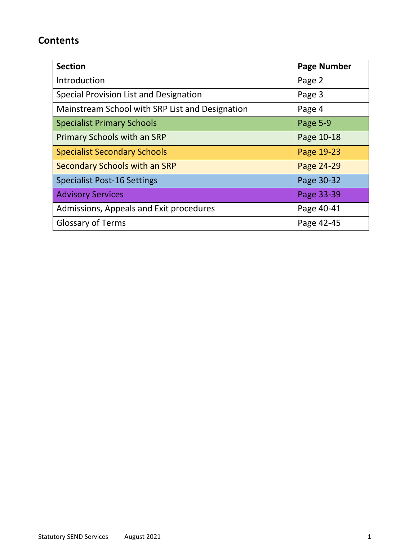# **Contents**

| <b>Section</b>                                  | <b>Page Number</b> |
|-------------------------------------------------|--------------------|
| Introduction                                    | Page 2             |
| Special Provision List and Designation          | Page 3             |
| Mainstream School with SRP List and Designation | Page 4             |
| <b>Specialist Primary Schools</b>               | Page 5-9           |
| <b>Primary Schools with an SRP</b>              | Page 10-18         |
| <b>Specialist Secondary Schools</b>             | Page 19-23         |
| Secondary Schools with an SRP                   | Page 24-29         |
| <b>Specialist Post-16 Settings</b>              | Page 30-32         |
| <b>Advisory Services</b>                        | Page 33-39         |
| Admissions, Appeals and Exit procedures         | Page 40-41         |
| <b>Glossary of Terms</b>                        | Page 42-45         |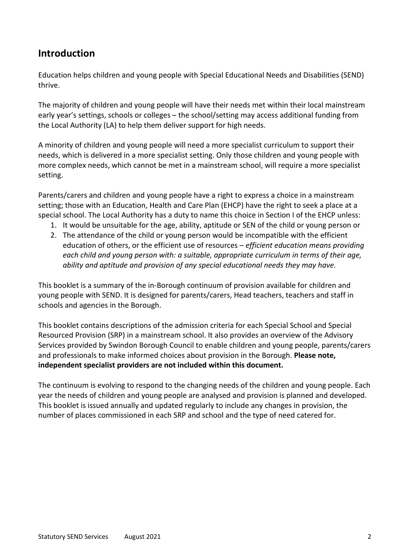# **Introduction**

Education helps children and young people with Special Educational Needs and Disabilities (SEND) thrive.

The majority of children and young people will have their needs met within their local mainstream early year's settings, schools or colleges – the school/setting may access additional funding from the Local Authority (LA) to help them deliver support for high needs.

A minority of children and young people will need a more specialist curriculum to support their needs, which is delivered in a more specialist setting. Only those children and young people with more complex needs, which cannot be met in a mainstream school, will require a more specialist setting.

Parents/carers and children and young people have a right to express a choice in a mainstream setting; those with an Education, Health and Care Plan (EHCP) have the right to seek a place at a special school. The Local Authority has a duty to name this choice in Section I of the EHCP unless:

- 1. It would be unsuitable for the age, ability, aptitude or SEN of the child or young person or
- 2. The attendance of the child or young person would be incompatible with the efficient education of others, or the efficient use of resources – *efficient education means providing each child and young person with: a suitable, appropriate curriculum in terms of their age, ability and aptitude and provision of any special educational needs they may have.*

This booklet is a summary of the in-Borough continuum of provision available for children and young people with SEND. It is designed for parents/carers, Head teachers, teachers and staff in schools and agencies in the Borough.

This booklet contains descriptions of the admission criteria for each Special School and Special Resourced Provision (SRP) in a mainstream school. It also provides an overview of the Advisory Services provided by Swindon Borough Council to enable children and young people, parents/carers and professionals to make informed choices about provision in the Borough. **Please note, independent specialist providers are not included within this document.**

The continuum is evolving to respond to the changing needs of the children and young people. Each year the needs of children and young people are analysed and provision is planned and developed. This booklet is issued annually and updated regularly to include any changes in provision, the number of places commissioned in each SRP and school and the type of need catered for.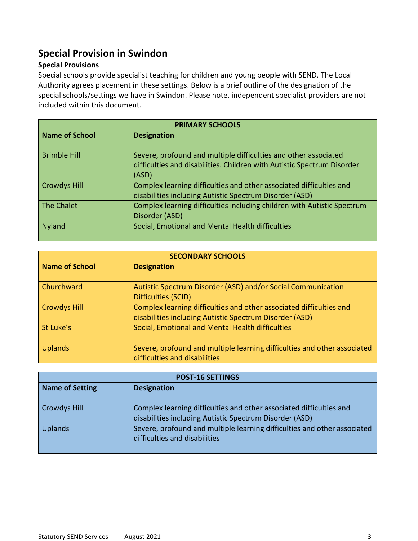# **Special Provision in Swindon**

### **Special Provisions**

Special schools provide specialist teaching for children and young people with SEND. The Local Authority agrees placement in these settings. Below is a brief outline of the designation of the special schools/settings we have in Swindon. Please note, independent specialist providers are not included within this document.

| <b>PRIMARY SCHOOLS</b> |                                                                                                                                                     |
|------------------------|-----------------------------------------------------------------------------------------------------------------------------------------------------|
| <b>Name of School</b>  | <b>Designation</b>                                                                                                                                  |
| <b>Brimble Hill</b>    | Severe, profound and multiple difficulties and other associated<br>difficulties and disabilities. Children with Autistic Spectrum Disorder<br>(ASD) |
| <b>Crowdys Hill</b>    | Complex learning difficulties and other associated difficulties and<br>disabilities including Autistic Spectrum Disorder (ASD)                      |
| The Chalet             | Complex learning difficulties including children with Autistic Spectrum<br>Disorder (ASD)                                                           |
| <b>Nyland</b>          | Social, Emotional and Mental Health difficulties                                                                                                    |

| <b>SECONDARY SCHOOLS</b> |                                                                                                                                |
|--------------------------|--------------------------------------------------------------------------------------------------------------------------------|
| Name of School           | <b>Designation</b>                                                                                                             |
| <b>Churchward</b>        | Autistic Spectrum Disorder (ASD) and/or Social Communication<br>Difficulties (SCID)                                            |
| <b>Crowdys Hill</b>      | Complex learning difficulties and other associated difficulties and<br>disabilities including Autistic Spectrum Disorder (ASD) |
| St Luke's                | Social, Emotional and Mental Health difficulties                                                                               |
| <b>Uplands</b>           | Severe, profound and multiple learning difficulties and other associated<br>difficulties and disabilities                      |

| <b>POST-16 SETTINGS</b> |                                                                                                           |
|-------------------------|-----------------------------------------------------------------------------------------------------------|
| <b>Name of Setting</b>  | <b>Designation</b>                                                                                        |
|                         |                                                                                                           |
| <b>Crowdys Hill</b>     | Complex learning difficulties and other associated difficulties and                                       |
|                         | disabilities including Autistic Spectrum Disorder (ASD)                                                   |
| <b>Uplands</b>          | Severe, profound and multiple learning difficulties and other associated<br>difficulties and disabilities |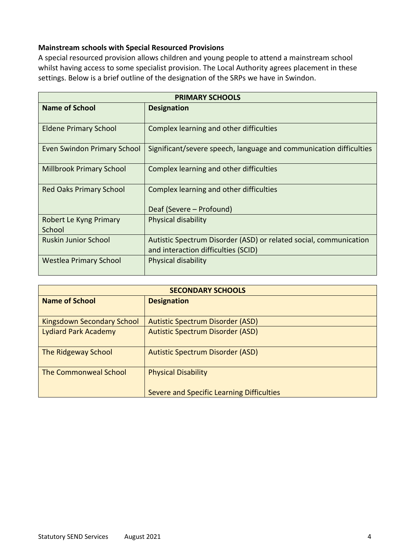### **Mainstream schools with Special Resourced Provisions**

A special resourced provision allows children and young people to attend a mainstream school whilst having access to some specialist provision. The Local Authority agrees placement in these settings. Below is a brief outline of the designation of the SRPs we have in Swindon.

| <b>PRIMARY SCHOOLS</b>           |                                                                                                          |
|----------------------------------|----------------------------------------------------------------------------------------------------------|
| <b>Name of School</b>            | <b>Designation</b>                                                                                       |
| <b>Eldene Primary School</b>     | Complex learning and other difficulties                                                                  |
| Even Swindon Primary School      | Significant/severe speech, language and communication difficulties                                       |
| <b>Millbrook Primary School</b>  | Complex learning and other difficulties                                                                  |
| <b>Red Oaks Primary School</b>   | Complex learning and other difficulties<br>Deaf (Severe – Profound)                                      |
| Robert Le Kyng Primary<br>School | Physical disability                                                                                      |
| <b>Ruskin Junior School</b>      | Autistic Spectrum Disorder (ASD) or related social, communication<br>and interaction difficulties (SCID) |
| <b>Westlea Primary School</b>    | Physical disability                                                                                      |

| <b>SECONDARY SCHOOLS</b>          |                                           |
|-----------------------------------|-------------------------------------------|
| <b>Name of School</b>             | <b>Designation</b>                        |
|                                   |                                           |
| <b>Kingsdown Secondary School</b> | <b>Autistic Spectrum Disorder (ASD)</b>   |
| <b>Lydiard Park Academy</b>       | <b>Autistic Spectrum Disorder (ASD)</b>   |
| <b>The Ridgeway School</b>        | <b>Autistic Spectrum Disorder (ASD)</b>   |
| The Commonweal School             | <b>Physical Disability</b>                |
|                                   | Severe and Specific Learning Difficulties |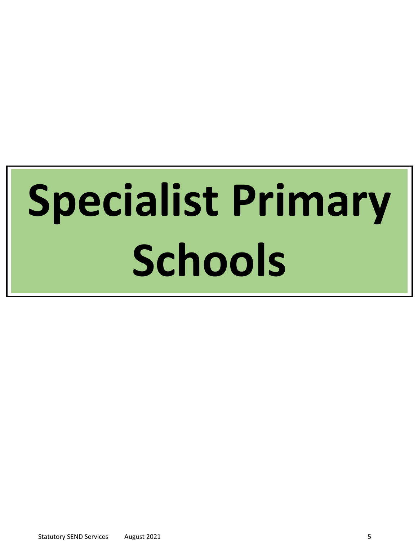# **Specialist Primary Schools**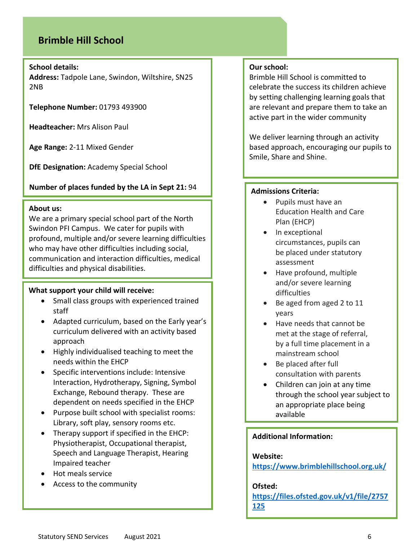# **Brimble Hill School**

### **School details:**

**Address:** Tadpole Lane, Swindon, Wiltshire, SN25 2NB

**Telephone Number:** 01793 493900

**Headteacher:** Mrs Alison Paul

**Age Range:** 2-11 Mixed Gender

**DfE Designation:** Academy Special School

### **Number of places funded by the LA in Sept 21:** 94

### **About us:**

We are a primary special school part of the North Swindon PFI Campus. We cater for pupils with profound, multiple and/or severe learning difficulties who may have other difficulties including social, communication and interaction difficulties, medical difficulties and physical disabilities.

### **What support your child will receive:**

- Small class groups with experienced trained staff
- Adapted curriculum, based on the Early year's curriculum delivered with an activity based approach
- Highly individualised teaching to meet the needs within the EHCP
- Specific interventions include: Intensive Interaction, Hydrotherapy, Signing, Symbol Exchange, Rebound therapy. These are dependent on needs specified in the EHCP
- Purpose built school with specialist rooms: Library, soft play, sensory rooms etc.
- Therapy support if specified in the EHCP: Physiotherapist, Occupational therapist, Speech and Language Therapist, Hearing Impaired teacher
- Hot meals service
- Access to the community

### **Our school:**

Brimble Hill School is committed to celebrate the success its children achieve by setting challenging learning goals that are relevant and prepare them to take an active part in the wider community

We deliver learning through an activity based approach, encouraging our pupils to Smile, Share and Shine.

### **Admissions Criteria:**

- Pupils must have an Education Health and Care Plan (EHCP)
- In exceptional circumstances, pupils can be placed under statutory assessment
- Have profound, multiple and/or severe learning difficulties
- Be aged from aged 2 to 11 years
- Have needs that cannot be met at the stage of referral, by a full time placement in a mainstream school
- Be placed after full consultation with parents
- Children can join at any time through the school year subject to an appropriate place being available

### **Additional Information:**

### **Website:**

**<https://www.brimblehillschool.org.uk/>**

### **Ofsted:**

**[https://files.ofsted.gov.uk/v1/file/2757](https://files.ofsted.gov.uk/v1/file/2757125) [125](https://files.ofsted.gov.uk/v1/file/2757125)**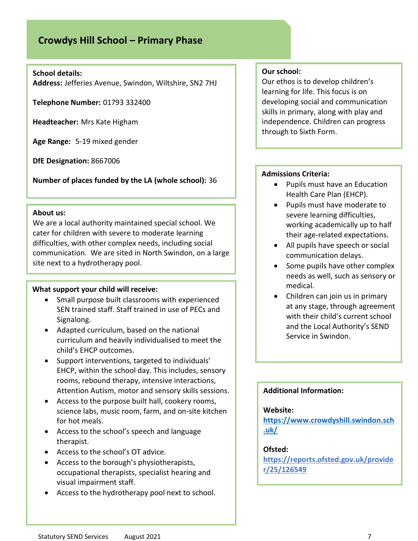# **Crowdys Hill School – Primary Phase**

### **School details:**

**Address:** Jefferies Avenue, Swindon, Wiltshire, SN2 7HJ

**Telephone Number:** 01793 332400

**Headteacher:** Mrs Kate Higham

**Age Range:** 5-19 mixed gender

**DfE Designation:** 8667006

**Number of places funded by the LA (whole school):** 36

### **About us:**

We are a local authority maintained special school. We cater for children with severe to moderate learning difficulties, with other complex needs, including social communication. We are sited in North Swindon, on a large site next to a hydrotherapy pool.

### **What support your child will receive:**

- Small purpose built classrooms with experienced SEN trained staff. Staff trained in use of PECs and Signalong.
- Adapted curriculum, based on the national curriculum and heavily individualised to meet the child's EHCP outcomes.
- Support interventions, targeted to individuals' EHCP, within the school day. This includes, sensory rooms, rebound therapy, intensive interactions, Attention Autism, motor and sensory skills sessions.
- Access to the purpose built hall, cookery rooms, science labs, music room, farm, and on-site kitchen for hot meals.
- Access to the school's speech and language therapist.
- Access to the school's OT advice.
- Access to the borough's physiotherapists, occupational therapists, specialist hearing and visual impairment staff.
- Access to the hydrotherapy pool next to school.

### **Our school:**

Our ethos is to develop children's learning for life. This focus is on developing social and communication skills in primary, along with play and independence. Children can progress through to Sixth Form.

### **Admissions Criteria:**

- Pupils must have an Education Health Care Plan (EHCP).
- Pupils must have moderate to severe learning difficulties, working academically up to half their age-related expectations.
- All pupils have speech or social communication delays.
- Some pupils have other complex needs as well, such as sensory or medical.
- Children can join us in primary at any stage, through agreement with their child's current school and the Local Authority's SEND Service in Swindon.

### **Additional Information:**

### **Website:**

**[https://www.crowdyshill.swindon.sch](https://www.crowdyshill.swindon.sch.uk/) [.uk/](https://www.crowdyshill.swindon.sch.uk/)**

### **Ofsted:**

**[https://reports.ofsted.gov.uk/provide](https://reports.ofsted.gov.uk/provider/25/126549) [r/25/126549](https://reports.ofsted.gov.uk/provider/25/126549)**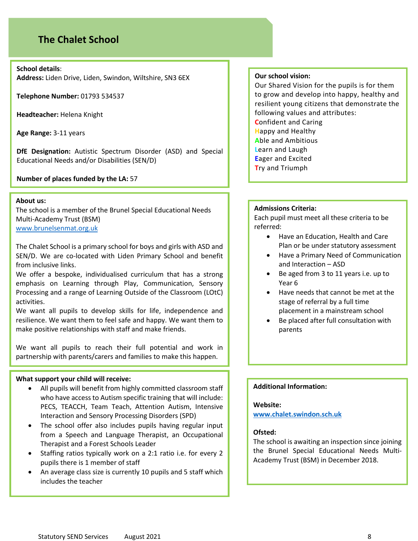## **The Chalet School**

**School details**:

**Address:** Liden Drive, Liden, Swindon, Wiltshire, SN3 6EX

**Telephone Number:** 01793 534537

**Headteacher:** Helena Knight

**Age Range:** 3-11 years

**DfE Designation:** Autistic Spectrum Disorder (ASD) and Special Educational Needs and/or Disabilities (SEN/D)

**Number of places funded by the LA:** 57

### **About us:**

The school is a member of the Brunel Special Educational Needs Multi-Academy Trust (BSM) [www.brunelsenmat.org.uk](http://www.brunelsenmat.org.uk/)

The Chalet School is a primary school for boys and girls with ASD and SEN/D. We are co-located with Liden Primary School and benefit from inclusive links.

We offer a bespoke, individualised curriculum that has a strong emphasis on Learning through Play, Communication, Sensory Processing and a range of Learning Outside of the Classroom (LOtC) activities.

We want all pupils to develop skills for life, independence and resilience. We want them to feel safe and happy. We want them to make positive relationships with staff and make friends.

We want all pupils to reach their full potential and work in partnership with parents/carers and families to make this happen.

### **What support your child will receive:**

- All pupils will benefit from highly committed classroom staff who have access to Autism specific training that will include: PECS, TEACCH, Team Teach, Attention Autism, Intensive Interaction and Sensory Processing Disorders (SPD)
- The school offer also includes pupils having regular input from a Speech and Language Therapist, an Occupational Therapist and a Forest Schools Leader
- Staffing ratios typically work on a 2:1 ratio i.e. for every 2 pupils there is 1 member of staff
- An average class size is currently 10 pupils and 5 staff which includes the teacher

### **Our school vision:**

Our Shared Vision for the pupils is for them to grow and develop into happy, healthy and resilient young citizens that demonstrate the following values and attributes: **C**onfident and Caring **H**appy and Healthy **A**ble and Ambitious **L**earn and Laugh **E**ager and Excited **T**ry and Triumph

### **Admissions Criteria:**

Each pupil must meet all these criteria to be referred:

- Have an Education, Health and Care Plan or be under statutory assessment
- Have a Primary Need of Communication and Interaction – ASD
- Be aged from 3 to 11 years i.e. up to Year 6
- Have needs that cannot be met at the stage of referral by a full time placement in a mainstream school
- Be placed after full consultation with parents

### **Additional Information:**

### **Website:**

**[www.chalet.swindon.sch.uk](http://www.chalet.swindon.sch.uk/)**

### **Ofsted:**

The school is awaiting an inspection since joining the Brunel Special Educational Needs Multi-Academy Trust (BSM) in December 2018.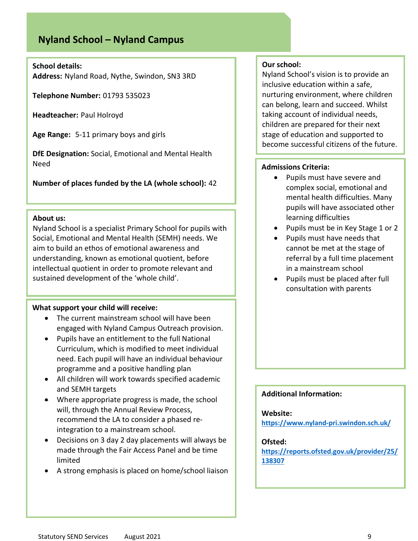# **Nyland School – Nyland Campus**

### **School details:**

**Address:** Nyland Road, Nythe, Swindon, SN3 3RD

**Telephone Number:** 01793 535023

**Headteacher:** Paul Holroyd

**Age Range:** 5-11 primary boys and girls

**DfE Designation:** Social, Emotional and Mental Health Need

**Number of places funded by the LA (whole school):** 42

### **About us:**

Nyland School is a specialist Primary School for pupils with Social, Emotional and Mental Health (SEMH) needs. We aim to build an ethos of emotional awareness and understanding, known as emotional quotient, before intellectual quotient in order to promote relevant and sustained development of the 'whole child'.

### **What support your child will receive:**

- The current mainstream school will have been engaged with Nyland Campus Outreach provision.
- Pupils have an entitlement to the full National Curriculum, which is modified to meet individual need. Each pupil will have an individual behaviour programme and a positive handling plan
- All children will work towards specified academic and SEMH targets
- Where appropriate progress is made, the school will, through the Annual Review Process, recommend the LA to consider a phased reintegration to a mainstream school.
- Decisions on 3 day 2 day placements will always be made through the Fair Access Panel and be time limited
- A strong emphasis is placed on home/school liaison

### **Our school:**

Nyland School's vision is to provide an inclusive education within a safe, nurturing environment, where children can belong, learn and succeed. Whilst taking account of individual needs, children are prepared for their next stage of education and supported to become successful citizens of the future.

### **Admissions Criteria:**

- Pupils must have severe and complex social, emotional and mental health difficulties. Many pupils will have associated other learning difficulties
- Pupils must be in Key Stage 1 or 2
- Pupils must have needs that cannot be met at the stage of referral by a full time placement in a mainstream school
- Pupils must be placed after full consultation with parents

### **Additional Information:**

### **Website:**

**<https://www.nyland-pri.swindon.sch.uk/>**

### **Ofsted:**

**[https://reports.ofsted.gov.uk/provider/25/](https://reports.ofsted.gov.uk/provider/25/138307) [138307](https://reports.ofsted.gov.uk/provider/25/138307)**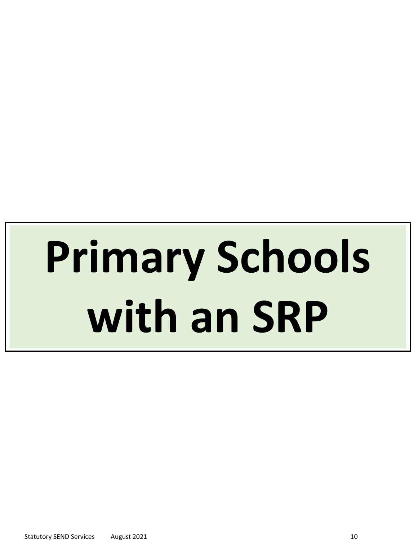# **Primary Schools with an SRP**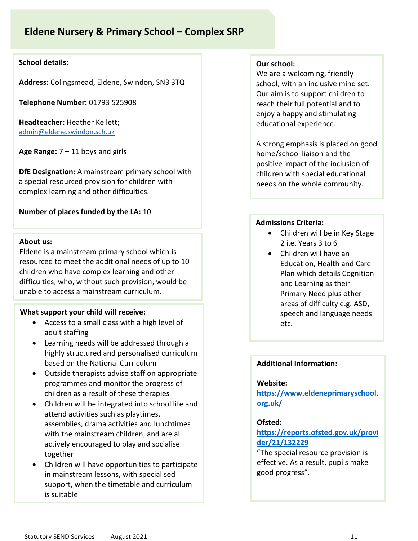# **Eldene Nursery & Primary School – Complex SRP**

### **School details:**

**Address:** Colingsmead, Eldene, Swindon, SN3 3TQ

**Telephone Number:** 01793 525908

**Headteacher:** Heather Kellett; [admin@eldene.swindon.sch.uk](mailto:admin@eldene.swindon.sch.uk)

**Age Range:** 7 – 11 boys and girls

**DfE Designation:** A mainstream primary school with a special resourced provision for children with complex learning and other difficulties.

### **Number of places funded by the LA:** 10

### **About us:**

Eldene is a mainstream primary school which is resourced to meet the additional needs of up to 10 children who have complex learning and other difficulties, who, without such provision, would be unable to access a mainstream curriculum.

### **What support your child will receive:**

- Access to a small class with a high level of adult staffing
- Learning needs will be addressed through a highly structured and personalised curriculum based on the National Curriculum
- Outside therapists advise staff on appropriate programmes and monitor the progress of children as a result of these therapies
- Children will be integrated into school life and attend activities such as playtimes, assemblies, drama activities and lunchtimes with the mainstream children, and are all actively encouraged to play and socialise together
- Children will have opportunities to participate in mainstream lessons, with specialised support, when the timetable and curriculum is suitable

### **Our school:**

We are a welcoming, friendly school, with an inclusive mind set. Our aim is to support children to reach their full potential and to enjoy a happy and stimulating educational experience.

A strong emphasis is placed on good home/school liaison and the positive impact of the inclusion of children with special educational needs on the whole community.

### **Admissions Criteria:**

- Children will be in Key Stage 2 i.e. Years 3 to 6
- Children will have an Education, Health and Care Plan which details Cognition and Learning as their Primary Need plus other areas of difficulty e.g. ASD, speech and language needs etc.

### **Additional Information:**

### **Website:**

**[https://www.eldeneprimaryschool.](https://www.eldeneprimaryschool.org.uk/) [org.uk/](https://www.eldeneprimaryschool.org.uk/)**

### **Ofsted:**

### **[https://reports.ofsted.gov.uk/provi](https://reports.ofsted.gov.uk/provider/21/132229) [der/21/132229](https://reports.ofsted.gov.uk/provider/21/132229)**

"The special resource provision is effective. As a result, pupils make good progress".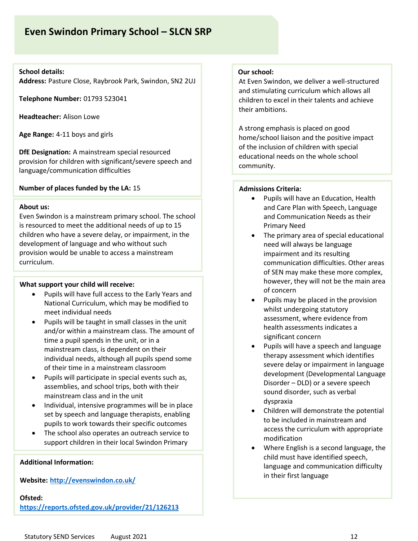# **Even Swindon Primary School – SLCN SRP**

### **School details:**

**Address:** Pasture Close, Raybrook Park, Swindon, SN2 2UJ

**Telephone Number:** 01793 523041

**Headteacher:** Alison Lowe

**Age Range:** 4-11 boys and girls

**DfE Designation:** A mainstream special resourced provision for children with significant/severe speech and language/communication difficulties

### **Number of places funded by the LA:** 15

### **About us:**

Even Swindon is a mainstream primary school. The school is resourced to meet the additional needs of up to 15 children who have a severe delay, or impairment, in the development of language and who without such provision would be unable to access a mainstream curriculum.

### **What support your child will receive:**

- Pupils will have full access to the Early Years and National Curriculum, which may be modified to meet individual needs
- Pupils will be taught in small classes in the unit and/or within a mainstream class. The amount of time a pupil spends in the unit, or in a mainstream class, is dependent on their individual needs, although all pupils spend some of their time in a mainstream classroom
- Pupils will participate in special events such as, assemblies, and school trips, both with their mainstream class and in the unit
- Individual, intensive programmes will be in place set by speech and language therapists, enabling pupils to work towards their specific outcomes
- The school also operates an outreach service to support children in their local Swindon Primary

### **Additional Information:**

**Website: <http://evenswindon.co.uk/>**

**Ofsted: <https://reports.ofsted.gov.uk/provider/21/126213>**

### **Our school:**

At Even Swindon, we deliver a well-structured and stimulating curriculum which allows all children to excel in their talents and achieve their ambitions.

A strong emphasis is placed on good home/school liaison and the positive impact of the inclusion of children with special educational needs on the whole school community.

### **Admissions Criteria:**

- Pupils will have an Education, Health and Care Plan with Speech, Language and Communication Needs as their Primary Need
- The primary area of special educational need will always be language impairment and its resulting communication difficulties. Other areas of SEN may make these more complex, however, they will not be the main area of concern
- Pupils may be placed in the provision whilst undergoing statutory assessment, where evidence from health assessments indicates a significant concern
- Pupils will have a speech and language therapy assessment which identifies severe delay or impairment in language development (Developmental Language Disorder – DLD) or a severe speech sound disorder, such as verbal dyspraxia
- Children will demonstrate the potential to be included in mainstream and access the curriculum with appropriate modification
- Where English is a second language, the child must have identified speech, language and communication difficulty in their first language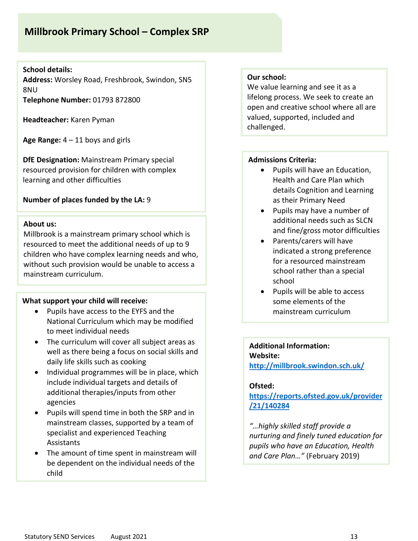# **Millbrook Primary School – Complex SRP**

### **School details:**

**Address:** Worsley Road, Freshbrook, Swindon, SN5 8NU **Telephone Number:** 01793 872800

**Headteacher:** Karen Pyman

**Age Range:** 4 – 11 boys and girls

**DfE Designation:** Mainstream Primary special resourced provision for children with complex learning and other difficulties

### **Number of places funded by the LA:** 9

### **About us:**

Millbrook is a mainstream primary school which is resourced to meet the additional needs of up to 9 children who have complex learning needs and who, without such provision would be unable to access a mainstream curriculum.

### **What support your child will receive:**

- Pupils have access to the EYFS and the National Curriculum which may be modified to meet individual needs
- The curriculum will cover all subject areas as well as there being a focus on social skills and daily life skills such as cooking
- Individual programmes will be in place, which include individual targets and details of additional therapies/inputs from other agencies
- Pupils will spend time in both the SRP and in mainstream classes, supported by a team of specialist and experienced Teaching Assistants
- The amount of time spent in mainstream will be dependent on the individual needs of the child

### **Our school:**

We value learning and see it as a lifelong process. We seek to create an open and creative school where all are valued, supported, included and challenged.

### **Admissions Criteria:**

- Pupils will have an Education, Health and Care Plan which details Cognition and Learning as their Primary Need
- Pupils may have a number of additional needs such as SLCN and fine/gross motor difficulties
- Parents/carers will have indicated a strong preference for a resourced mainstream school rather than a special school
- Pupils will be able to access some elements of the mainstream curriculum

### **Additional Information: Website: <http://millbrook.swindon.sch.uk/>**

### **Ofsted:**

**[https://reports.ofsted.gov.uk/provider](https://reports.ofsted.gov.uk/provider/21/140284) [/21/140284](https://reports.ofsted.gov.uk/provider/21/140284)**

*"…highly skilled staff provide a nurturing and finely tuned education for pupils who have an Education, Health and Care Plan…"* (February 2019)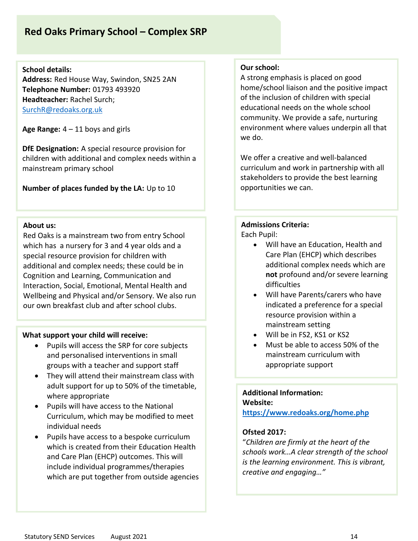# **Red Oaks Primary School – Complex SRP**

**School details:**

**Address:** Red House Way, Swindon, SN25 2AN **Telephone Number:** 01793 493920 **Headteacher:** Rachel Surch; [SurchR@redoaks.org.uk](mailto:SurchR@redoaks.org.uk)

**Age Range:** 4 – 11 boys and girls

**DfE Designation:** A special resource provision for children with additional and complex needs within a mainstream primary school

**Number of places funded by the LA:** Up to 10

### **About us:**

Red Oaks is a mainstream two from entry School which has a nursery for 3 and 4 year olds and a special resource provision for children with additional and complex needs; these could be in Cognition and Learning, Communication and Interaction, Social, Emotional, Mental Health and Wellbeing and Physical and/or Sensory. We also run our own breakfast club and after school clubs.

### **What support your child will receive:**

- Pupils will access the SRP for core subjects and personalised interventions in small groups with a teacher and support staff
- They will attend their mainstream class with adult support for up to 50% of the timetable, where appropriate
- Pupils will have access to the National Curriculum, which may be modified to meet individual needs
- Pupils have access to a bespoke curriculum which is created from their Education Health and Care Plan (EHCP) outcomes. This will include individual programmes/therapies which are put together from outside agencies

### **Our school:**

A strong emphasis is placed on good home/school liaison and the positive impact of the inclusion of children with special educational needs on the whole school community. We provide a safe, nurturing environment where values underpin all that we do.

We offer a creative and well-balanced curriculum and work in partnership with all stakeholders to provide the best learning opportunities we can.

### **Admissions Criteria:**

Each Pupil:

- Will have an Education, Health and Care Plan (EHCP) which describes additional complex needs which are **not** profound and/or severe learning difficulties
- Will have Parents/carers who have indicated a preference for a special resource provision within a mainstream setting
- Will be in FS2, KS1 or KS2
- Must be able to access 50% of the mainstream curriculum with appropriate support

### **Additional Information: Website: <https://www.redoaks.org/home.php>**

### **Ofsted 2017:**

"*Children are firmly at the heart of the schools work…A clear strength of the school is the learning environment. This is vibrant, creative and engaging…"*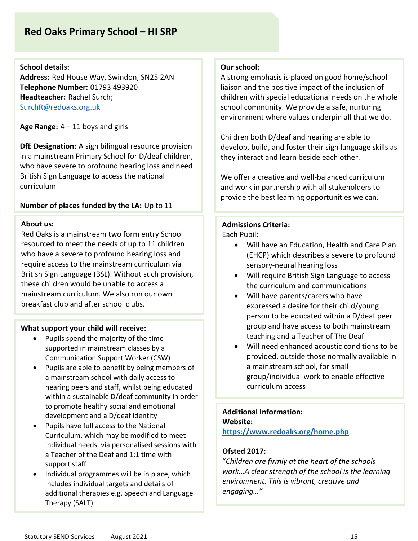# **Red Oaks Primary School – HI SRP**

### **School details:**

**Address:** Red House Way, Swindon, SN25 2AN **Telephone Number:** 01793 493920 **Headteacher:** Rachel Surch; [SurchR@redoaks.org.uk](mailto:SurchR@redoaks.org.uk)

**Age Range:** 4 – 11 boys and girls

**DfE Designation:** A sign bilingual resource provision in a mainstream Primary School for D/deaf children, who have severe to profound hearing loss and need British Sign Language to access the national curriculum

### **Number of places funded by the LA:** Up to 11

### **About us:**

Red Oaks is a mainstream two form entry School resourced to meet the needs of up to 11 children who have a severe to profound hearing loss and require access to the mainstream curriculum via British Sign Language (BSL). Without such provision, these children would be unable to access a mainstream curriculum. We also run our own breakfast club and after school clubs.

### **What support your child will receive:**

- Pupils spend the majority of the time supported in mainstream classes by a Communication Support Worker (CSW)
- Pupils are able to benefit by being members of a mainstream school with daily access to hearing peers and staff, whilst being educated within a sustainable D/deaf community in order to promote healthy social and emotional development and a D/deaf identity
- Pupils have full access to the National Curriculum, which may be modified to meet individual needs, via personalised sessions with a Teacher of the Deaf and 1:1 time with support staff
- Individual programmes will be in place, which includes individual targets and details of additional therapies e.g. Speech and Language Therapy (SALT)

### **Our school:**

A strong emphasis is placed on good home/school liaison and the positive impact of the inclusion of children with special educational needs on the whole school community. We provide a safe, nurturing environment where values underpin all that we do.

Children both D/deaf and hearing are able to develop, build, and foster their sign language skills as they interact and learn beside each other.

We offer a creative and well-balanced curriculum and work in partnership with all stakeholders to provide the best learning opportunities we can.

### **Admissions Criteria:**

Each Pupil:

- Will have an Education, Health and Care Plan (EHCP) which describes a severe to profound sensory-neural hearing loss
- Will require British Sign Language to access the curriculum and communications
- Will have parents/carers who have expressed a desire for their child/young person to be educated within a D/deaf peer group and have access to both mainstream teaching and a Teacher of The Deaf
- Will need enhanced acoustic conditions to be provided, outside those normally available in a mainstream school, for small group/individual work to enable effective curriculum access

### **Additional Information: Website:**

**<https://www.redoaks.org/home.php>**

### **Ofsted 2017:**

"*Children are firmly at the heart of the schools work…A clear strength of the school is the learning environment. This is vibrant, creative and engaging…"*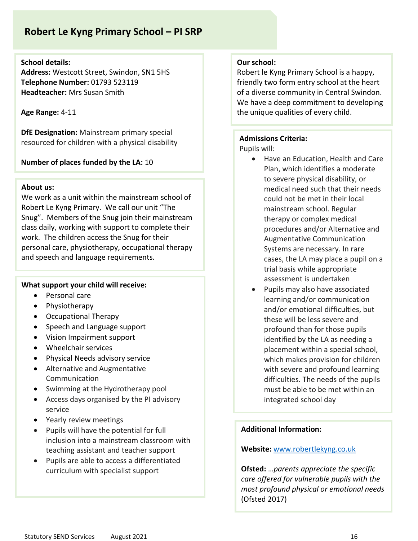# **Robert Le Kyng Primary School – PI SRP**

### **School details:**

**Address:** Westcott Street, Swindon, SN1 5HS **Telephone Number:** 01793 523119 **Headteacher:** Mrs Susan Smith

### **Age Range:** 4-11

**DfE Designation:** Mainstream primary special resourced for children with a physical disability

**Number of places funded by the LA:** 10

### **About us:**

We work as a unit within the mainstream school of Robert Le Kyng Primary. We call our unit "The Snug". Members of the Snug join their mainstream class daily, working with support to complete their work. The children access the Snug for their personal care, physiotherapy, occupational therapy and speech and language requirements.

### **What support your child will receive:**

- Personal care
- Physiotherapy
- Occupational Therapy
- Speech and Language support
- Vision Impairment support
- Wheelchair services
- Physical Needs advisory service
- Alternative and Augmentative Communication
- Swimming at the Hydrotherapy pool
- Access days organised by the PI advisory service
- Yearly review meetings
- Pupils will have the potential for full inclusion into a mainstream classroom with teaching assistant and teacher support
- Pupils are able to access a differentiated curriculum with specialist support

### **Our school:**

Robert le Kyng Primary School is a happy, friendly two form entry school at the heart of a diverse community in Central Swindon. We have a deep commitment to developing the unique qualities of every child.

### **Admissions Criteria:**

Pupils will:

- Have an Education, Health and Care Plan, which identifies a moderate to severe physical disability, or medical need such that their needs could not be met in their local mainstream school. Regular therapy or complex medical procedures and/or Alternative and Augmentative Communication Systems are necessary. In rare cases, the LA may place a pupil on a trial basis while appropriate assessment is undertaken
- Pupils may also have associated learning and/or communication and/or emotional difficulties, but these will be less severe and profound than for those pupils identified by the LA as needing a placement within a special school, which makes provision for children with severe and profound learning difficulties. The needs of the pupils must be able to be met within an integrated school day

### **Additional Information:**

### **Website:** [www.robertlekyng.co.uk](http://www.robertlekyng.co.uk/)

**Ofsted:** …*parents appreciate the specific care offered for vulnerable pupils with the most profound physical or emotional needs*  (Ofsted 2017)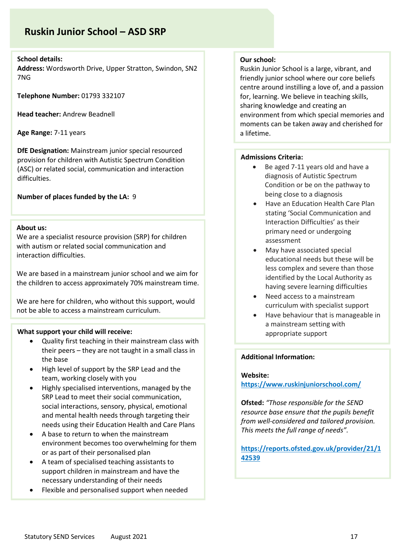# **Ruskin Junior School – ASD SRP**

### **School details:**

**Address:** Wordsworth Drive, Upper Stratton, Swindon, SN2 7NG

**Telephone Number:** 01793 332107

**Head teacher:** Andrew Beadnell

**Age Range:** 7-11 years

**DfE Designation:** Mainstream junior special resourced provision for children with Autistic Spectrum Condition (ASC) or related social, communication and interaction difficulties.

**Number of places funded by the LA:** 9

### **About us:**

We are a specialist resource provision (SRP) for children with autism or related social communication and interaction difficulties.

We are based in a mainstream junior school and we aim for the children to access approximately 70% mainstream time.

We are here for children, who without this support, would not be able to access a mainstream curriculum.

### **What support your child will receive:**

- Quality first teaching in their mainstream class with their peers – they are not taught in a small class in the base
- High level of support by the SRP Lead and the team, working closely with you
- Highly specialised interventions, managed by the SRP Lead to meet their social communication, social interactions, sensory, physical, emotional and mental health needs through targeting their needs using their Education Health and Care Plans
- A base to return to when the mainstream environment becomes too overwhelming for them or as part of their personalised plan
- A team of specialised teaching assistants to support children in mainstream and have the necessary understanding of their needs
- Flexible and personalised support when needed

### **Our school:**

Ruskin Junior School is a large, vibrant, and friendly junior school where our core beliefs centre around instilling a love of, and a passion for, learning. We believe in teaching skills, sharing knowledge and creating an environment from which special memories and moments can be taken away and cherished for a lifetime.

### **Admissions Criteria:**

- Be aged 7-11 years old and have a diagnosis of Autistic Spectrum Condition or be on the pathway to being close to a diagnosis
	- Have an Education Health Care Plan stating 'Social Communication and Interaction Difficulties' as their primary need or undergoing assessment
	- May have associated special educational needs but these will be less complex and severe than those identified by the Local Authority as having severe learning difficulties
- Need access to a mainstream curriculum with specialist support
- Have behaviour that is manageable in a mainstream setting with appropriate support

### **Additional Information:**

### **Website:**

**<https://www.ruskinjuniorschool.com/>**

**Ofsted:** *"Those responsible for the SEND resource base ensure that the pupils benefit from well-considered and tailored provision. This meets the full range of needs".* 

**[https://reports.ofsted.gov.uk/provider/21/1](https://reports.ofsted.gov.uk/provider/21/142539) [42539](https://reports.ofsted.gov.uk/provider/21/142539)**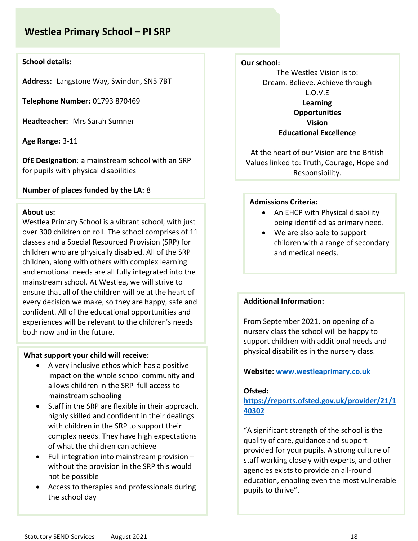# **Westlea Primary School – PI SRP**

### **School details:**

**Address:** Langstone Way, Swindon, SN5 7BT

**Telephone Number:** 01793 870469

**Headteacher:** Mrs Sarah Sumner

**Age Range:** 3-11

**DfE Designation**: a mainstream school with an SRP for pupils with physical disabilities

**Number of places funded by the LA:** 8

### **About us:**

Westlea Primary School is a vibrant school, with just over 300 children on roll. The school comprises of 11 classes and a Special Resourced Provision (SRP) for children who are physically disabled. All of the SRP children, along with others with complex learning and emotional needs are all fully integrated into the mainstream school. At Westlea, we will strive to ensure that all of the children will be at the heart of every decision we make, so they are happy, safe and confident. All of the educational opportunities and experiences will be relevant to the children's needs both now and in the future.

### **What support your child will receive:**

- A very inclusive ethos which has a positive impact on the whole school community and allows children in the SRP full access to mainstream schooling
- Staff in the SRP are flexible in their approach, highly skilled and confident in their dealings with children in the SRP to support their complex needs. They have high expectations of what the children can achieve
- Full integration into mainstream provision without the provision in the SRP this would not be possible
- Access to therapies and professionals during the school day

### **Our school:**

The Westlea Vision is to: Dream. Believe. Achieve through L.O.V.E **Learning Opportunities Vision Educational Excellence**

At the heart of our Vision are the British Values linked to: Truth, Courage, Hope and Responsibility.

### **Admissions Criteria:**

- An EHCP with Physical disability being identified as primary need.
- We are also able to support children with a range of secondary and medical needs.

### **Additional Information:**

From September 2021, on opening of a nursery class the school will be happy to support children with additional needs and physical disabilities in the nursery class.

### **Website: [www.westleaprimary.co.uk](http://www.westleaprimary.co.uk/)**

### **Ofsted:**

### **[https://reports.ofsted.gov.uk/provider/21/1](https://reports.ofsted.gov.uk/provider/21/140302) [40302](https://reports.ofsted.gov.uk/provider/21/140302)**

"A significant strength of the school is the quality of care, guidance and support provided for your pupils. A strong culture of staff working closely with experts, and other agencies exists to provide an all-round education, enabling even the most vulnerable pupils to thrive".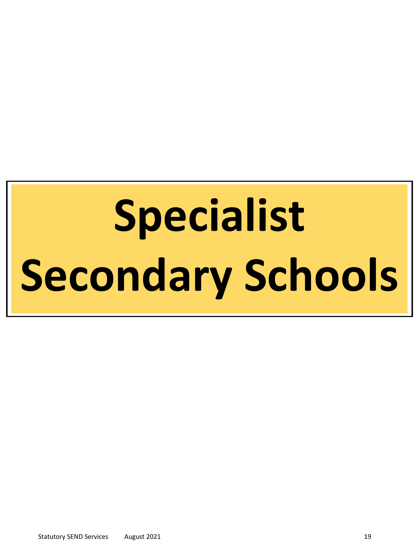# **Specialist Secondary Schools**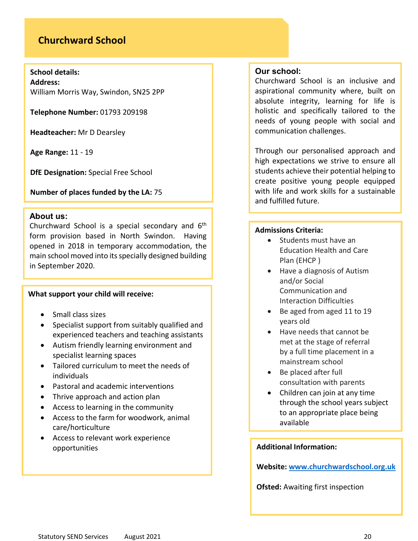## **Churchward School**

**School details: Address:** William Morris Way, Swindon, SN25 2PP

**Telephone Number:** 01793 209198

**Headteacher:** Mr D Dearsley

**Age Range:** 11 - 19

**DfE Designation:** Special Free School

**Number of places funded by the LA:** 75

### **About us:**

Churchward School is a special secondary and 6th form provision based in North Swindon. Having opened in 2018 in temporary accommodation, the main school moved into its specially designed building in September 2020.

### **What support your child will receive:**

- Small class sizes
- Specialist support from suitably qualified and experienced teachers and teaching assistants
- Autism friendly learning environment and specialist learning spaces
- Tailored curriculum to meet the needs of individuals
- Pastoral and academic interventions
- Thrive approach and action plan
- Access to learning in the community
- Access to the farm for woodwork, animal care/horticulture
- Access to relevant work experience opportunities

### **Our school:**

Churchward School is an inclusive and aspirational community where, built on absolute integrity, learning for life is holistic and specifically tailored to the needs of young people with social and communication challenges.

Through our personalised approach and high expectations we strive to ensure all students achieve their potential helping to create positive young people equipped with life and work skills for a sustainable and fulfilled future.

### **Admissions Criteria:**

- Students must have an Education Health and Care Plan (EHCP )
- Have a diagnosis of Autism and/or Social Communication and Interaction Difficulties
- Be aged from aged 11 to 19 years old
- Have needs that cannot be met at the stage of referral by a full time placement in a mainstream school
- Be placed after full consultation with parents
- Children can join at any time through the school years subject to an appropriate place being available

### **Additional Information:**

**Website: [www.churchwardschool.org.uk](http://www.churchwardschool.org.uk/)**

**Ofsted:** Awaiting first inspection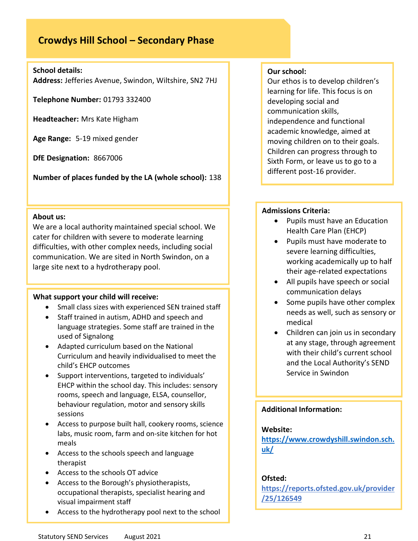# **Crowdys Hill School – Secondary Phase**

### **School details:**

**Address:** Jefferies Avenue, Swindon, Wiltshire, SN2 7HJ

**Telephone Number:** 01793 332400

**Headteacher:** Mrs Kate Higham

**Age Range:** 5-19 mixed gender

**DfE Designation:** 8667006

**Number of places funded by the LA (whole school):** 138

### **About us:**

We are a local authority maintained special school. We cater for children with severe to moderate learning difficulties, with other complex needs, including social communication. We are sited in North Swindon, on a large site next to a hydrotherapy pool.

### **What support your child will receive:**

- Small class sizes with experienced SEN trained staff
- Staff trained in autism, ADHD and speech and language strategies. Some staff are trained in the used of Signalong
- Adapted curriculum based on the National Curriculum and heavily individualised to meet the child's EHCP outcomes
- Support interventions, targeted to individuals' EHCP within the school day. This includes: sensory rooms, speech and language, ELSA, counsellor, behaviour regulation, motor and sensory skills sessions
- Access to purpose built hall, cookery rooms, science labs, music room, farm and on-site kitchen for hot meals
- Access to the schools speech and language therapist
- Access to the schools OT advice
- Access to the Borough's physiotherapists, occupational therapists, specialist hearing and visual impairment staff
- Access to the hydrotherapy pool next to the school

### **Our school:**

Our ethos is to develop children's learning for life. This focus is on developing social and communication skills, independence and functional academic knowledge, aimed at moving children on to their goals. Children can progress through to Sixth Form, or leave us to go to a different post-16 provider.

### **Admissions Criteria:**

- Pupils must have an Education Health Care Plan (EHCP)
- Pupils must have moderate to severe learning difficulties, working academically up to half their age-related expectations
- All pupils have speech or social communication delays
- Some pupils have other complex needs as well, such as sensory or medical
- Children can join us in secondary at any stage, through agreement with their child's current school and the Local Authority's SEND Service in Swindon

### **Additional Information:**

### **Website:**

**[https://www.crowdyshill.swindon.sch.](https://www.crowdyshill.swindon.sch.uk/) [uk/](https://www.crowdyshill.swindon.sch.uk/)**

### **Ofsted:**

**[https://reports.ofsted.gov.uk/provider](https://reports.ofsted.gov.uk/provider/25/126549) [/25/126549](https://reports.ofsted.gov.uk/provider/25/126549)**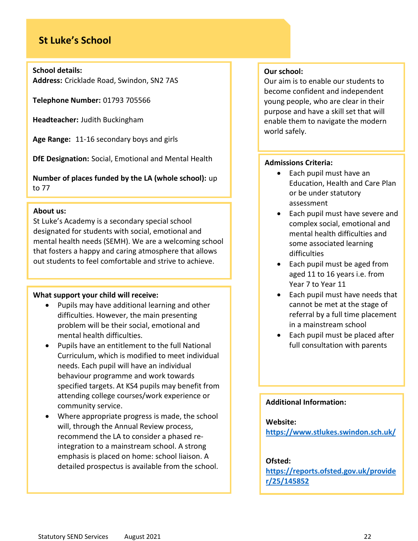# **St Luke's School**

### **School details:**

**Address:** Cricklade Road, Swindon, SN2 7AS

**Telephone Number:** 01793 705566

**Headteacher:** Judith Buckingham

**Age Range:** 11-16 secondary boys and girls

**DfE Designation:** Social, Emotional and Mental Health

**Number of places funded by the LA (whole school):** up to 77

### **About us:**

St Luke's Academy is a secondary special school designated for students with social, emotional and mental health needs (SEMH). We are a welcoming school that fosters a happy and caring atmosphere that allows out students to feel comfortable and strive to achieve.

### **What support your child will receive:**

- Pupils may have additional learning and other difficulties. However, the main presenting problem will be their social, emotional and mental health difficulties.
- Pupils have an entitlement to the full National Curriculum, which is modified to meet individual needs. Each pupil will have an individual behaviour programme and work towards specified targets. At KS4 pupils may benefit from attending college courses/work experience or community service.
- Where appropriate progress is made, the school will, through the Annual Review process, recommend the LA to consider a phased reintegration to a mainstream school. A strong emphasis is placed on home: school liaison. A detailed prospectus is available from the school.

### **Our school:**

Our aim is to enable our students to become confident and independent young people, who are clear in their purpose and have a skill set that will enable them to navigate the modern world safely.

### **Admissions Criteria:**

- Each pupil must have an Education, Health and Care Plan or be under statutory assessment
- Each pupil must have severe and complex social, emotional and mental health difficulties and some associated learning difficulties
- Each pupil must be aged from aged 11 to 16 years i.e. from Year 7 to Year 11
- Each pupil must have needs that cannot be met at the stage of referral by a full time placement in a mainstream school
- Each pupil must be placed after full consultation with parents

### **Additional Information:**

### **Website:**

**<https://www.stlukes.swindon.sch.uk/>**

### **Ofsted:**

**[https://reports.ofsted.gov.uk/provide](https://reports.ofsted.gov.uk/provider/25/145852) [r/25/145852](https://reports.ofsted.gov.uk/provider/25/145852)**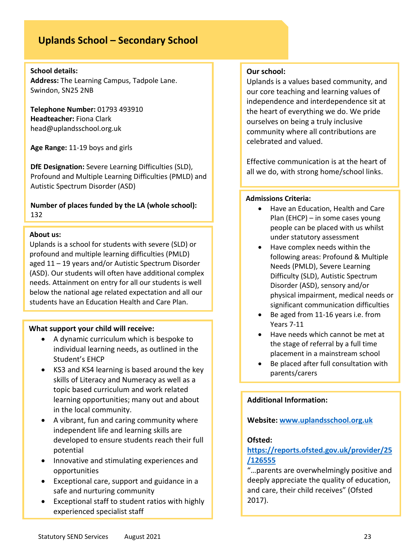# **Uplands School – Secondary School**

### **School details:**

**Address:** The Learning Campus, Tadpole Lane. Swindon, SN25 2NB

**Telephone Number:** 01793 493910 **Headteacher:** Fiona Clark head@uplandsschool.org.uk

**Age Range:** 11-19 boys and girls

**DfE Designation:** Severe Learning Difficulties (SLD), Profound and Multiple Learning Difficulties (PMLD) and Autistic Spectrum Disorder (ASD)

**Number of places funded by the LA (whole school):**  132

### **About us:**

Uplands is a school for students with severe (SLD) or profound and multiple learning difficulties (PMLD) aged 11 – 19 years and/or Autistic Spectrum Disorder (ASD). Our students will often have additional complex needs. Attainment on entry for all our students is well below the national age related expectation and all our students have an Education Health and Care Plan.

### **What support your child will receive:**

- A dynamic curriculum which is bespoke to individual learning needs, as outlined in the Student's EHCP
- KS3 and KS4 learning is based around the key skills of Literacy and Numeracy as well as a topic based curriculum and work related learning opportunities; many out and about in the local community.
- A vibrant, fun and caring community where independent life and learning skills are developed to ensure students reach their full potential
- Innovative and stimulating experiences and opportunities
- Exceptional care, support and guidance in a safe and nurturing community
- Exceptional staff to student ratios with highly experienced specialist staff

### **Our school:**

Uplands is a values based community, and our core teaching and learning values of independence and interdependence sit at the heart of everything we do. We pride ourselves on being a truly inclusive community where all contributions are celebrated and valued.

Effective communication is at the heart of all we do, with strong home/school links.

### **Admissions Criteria:**

- Have an Education, Health and Care Plan (EHCP) – in some cases young people can be placed with us whilst under statutory assessment
- Have complex needs within the following areas: Profound & Multiple Needs (PMLD), Severe Learning Difficulty (SLD), Autistic Spectrum Disorder (ASD), sensory and/or physical impairment, medical needs or significant communication difficulties
- Be aged from 11-16 years i.e. from Years 7-11
- Have needs which cannot be met at the stage of referral by a full time placement in a mainstream school
- Be placed after full consultation with parents/carers

### **Additional Information:**

**Website: [www.uplandsschool.org.uk](http://www.uplandsschool.org.uk/)**

### **Ofsted:**

### **[https://reports.ofsted.gov.uk/provider/25](https://reports.ofsted.gov.uk/provider/25/126555) [/126555](https://reports.ofsted.gov.uk/provider/25/126555)**

"…parents are overwhelmingly positive and deeply appreciate the quality of education, and care, their child receives" (Ofsted 2017).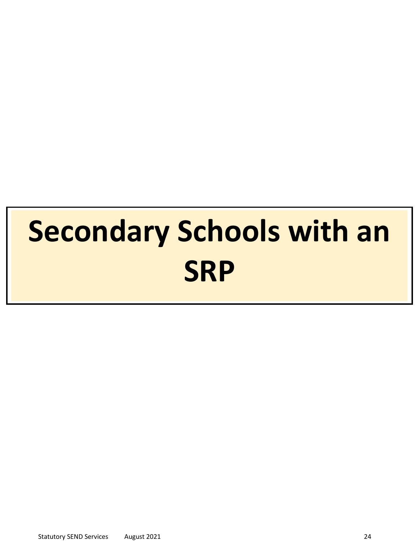# **Secondary Schools with an SRP**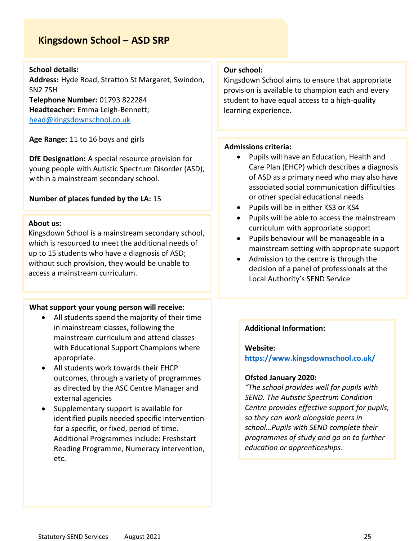# **Kingsdown School – ASD SRP**

### **School details:**

**Address:** Hyde Road, Stratton St Margaret, Swindon, SN2 7SH **Telephone Number:** 01793 822284 **Headteacher:** Emma Leigh-Bennett; [head@kingsdownschool.co.uk](mailto:head@kingsdownschool.co.uk)

**Age Range:** 11 to 16 boys and girls

**DfE Designation:** A special resource provision for young people with Autistic Spectrum Disorder (ASD), within a mainstream secondary school.

### **Number of places funded by the LA:** 15

### **About us:**

Kingsdown School is a mainstream secondary school, which is resourced to meet the additional needs of up to 15 students who have a diagnosis of ASD; without such provision, they would be unable to access a mainstream curriculum.

### **What support your young person will receive:**

- All students spend the majority of their time in mainstream classes, following the mainstream curriculum and attend classes with Educational Support Champions where appropriate.
- All students work towards their EHCP outcomes, through a variety of programmes as directed by the ASC Centre Manager and external agencies
- Supplementary support is available for identified pupils needed specific intervention for a specific, or fixed, period of time. Additional Programmes include: Freshstart Reading Programme, Numeracy intervention, etc.

### **Our school:**

Kingsdown School aims to ensure that appropriate provision is available to champion each and every student to have equal access to a high-quality learning experience.

### **Admissions criteria:**

- Pupils will have an Education, Health and Care Plan (EHCP) which describes a diagnosis of ASD as a primary need who may also have associated social communication difficulties or other special educational needs
- Pupils will be in either KS3 or KS4
- Pupils will be able to access the mainstream curriculum with appropriate support
- Pupils behaviour will be manageable in a mainstream setting with appropriate support
- Admission to the centre is through the decision of a panel of professionals at the Local Authority's SEND Service

### **Additional Information:**

### **Website:**

**<https://www.kingsdownschool.co.uk/>**

### **Ofsted January 2020:**

*"The school provides well for pupils with SEND. The Autistic Spectrum Condition Centre provides effective support for pupils, so they can work alongside peers in school…Pupils with SEND complete their programmes of study and go on to further education or apprenticeships.*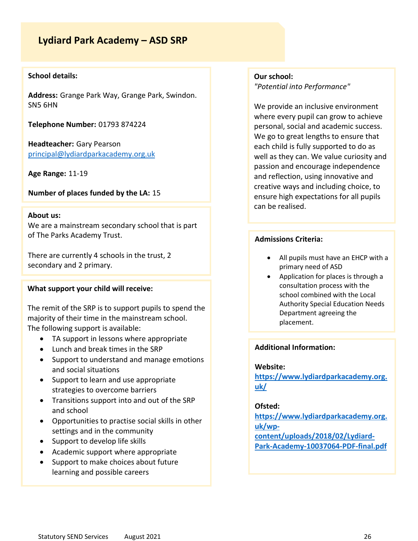# **Lydiard Park Academy – ASD SRP**

### **School details:**

**Address:** Grange Park Way, Grange Park, Swindon. SN5 6HN

**Telephone Number:** 01793 874224

**Headteacher:** Gary Pearson [principal@lydiardparkacademy.org.uk](mailto:principal@lydiardparkacademy.org.uk)

**Age Range:** 11-19

**Number of places funded by the LA:** 15

# **About us:**

We are a mainstream secondary school that is part of The Parks Academy Trust.

There are currently 4 schools in the trust, 2 secondary and 2 primary.

### **What support your child will receive:**

The remit of the SRP is to support pupils to spend the majority of their time in the mainstream school. The following support is available:

- TA support in lessons where appropriate
- Lunch and break times in the SRP
- Support to understand and manage emotions and social situations
- Support to learn and use appropriate strategies to overcome barriers
- Transitions support into and out of the SRP and school
- Opportunities to practise social skills in other settings and in the community
- Support to develop life skills
- Academic support where appropriate
- Support to make choices about future learning and possible careers

### **Our school:** *"Potential into Performance"*

We provide an inclusive environment where every pupil can grow to achieve personal, social and academic success. We go to great lengths to ensure that each child is fully supported to do as well as they can. We value curiosity and passion and encourage independence and reflection, using innovative and creative ways and including choice, to ensure high expectations for all pupils can be realised.

### **Admissions Criteria:**

- All pupils must have an EHCP with a primary need of ASD
- Application for places is through a consultation process with the school combined with the Local Authority Special Education Needs Department agreeing the placement.

### **Additional Information:**

#### **Website:**

**[https://www.lydiardparkacademy.org.](https://www.lydiardparkacademy.org.uk/) [uk/](https://www.lydiardparkacademy.org.uk/)**

### **Ofsted:**

**[https://www.lydiardparkacademy.org.](https://www.lydiardparkacademy.org.uk/wp-content/uploads/2018/02/Lydiard-Park-Academy-10037064-PDF-final.pdf) [uk/wp](https://www.lydiardparkacademy.org.uk/wp-content/uploads/2018/02/Lydiard-Park-Academy-10037064-PDF-final.pdf)[content/uploads/2018/02/Lydiard-](https://www.lydiardparkacademy.org.uk/wp-content/uploads/2018/02/Lydiard-Park-Academy-10037064-PDF-final.pdf)[Park-Academy-10037064-PDF-final.pdf](https://www.lydiardparkacademy.org.uk/wp-content/uploads/2018/02/Lydiard-Park-Academy-10037064-PDF-final.pdf)**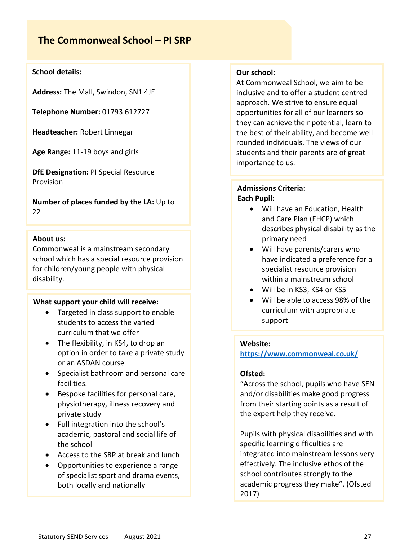# **The Commonweal School – PI SRP**

### **School details:**

**Address:** The Mall, Swindon, SN1 4JE

**Telephone Number:** 01793 612727

**Headteacher:** Robert Linnegar

**Age Range:** 11-19 boys and girls

**DfE Designation:** PI Special Resource Provision

**Number of places funded by the LA:** Up to 22

### **About us:**

Commonweal is a mainstream secondary school which has a special resource provision for children/young people with physical disability.

### **What support your child will receive:**

- Targeted in class support to enable students to access the varied curriculum that we offer
- The flexibility, in KS4, to drop an option in order to take a private study or an ASDAN course
- Specialist bathroom and personal care facilities.
- Bespoke facilities for personal care, physiotherapy, illness recovery and private study
- Full integration into the school's academic, pastoral and social life of the school
- Access to the SRP at break and lunch
- Opportunities to experience a range of specialist sport and drama events, both locally and nationally

### **Our school:**

At Commonweal School, we aim to be inclusive and to offer a student centred approach. We strive to ensure equal opportunities for all of our learners so they can achieve their potential, learn to the best of their ability, and become well rounded individuals. The views of our students and their parents are of great importance to us.

### **Admissions Criteria: Each Pupil:**

- Will have an Education, Health and Care Plan (EHCP) which describes physical disability as the primary need
- Will have parents/carers who have indicated a preference for a specialist resource provision within a mainstream school
- Will be in KS3, KS4 or KS5
- Will be able to access 98% of the curriculum with appropriate support

### **Website:**

**<https://www.commonweal.co.uk/>**

### **Ofsted:**

"Across the school, pupils who have SEN and/or disabilities make good progress from their starting points as a result of the expert help they receive.

Pupils with physical disabilities and with specific learning difficulties are integrated into mainstream lessons very effectively. The inclusive ethos of the school contributes strongly to the academic progress they make". (Ofsted 2017)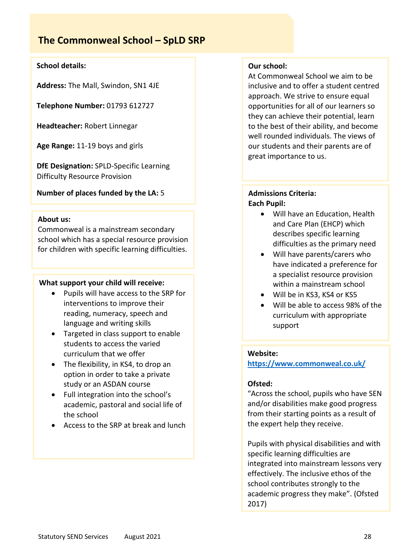# **The Commonweal School – SpLD SRP**

### **School details:**

**Address:** The Mall, Swindon, SN1 4JE

**Telephone Number:** 01793 612727

**Headteacher:** Robert Linnegar

**Age Range:** 11-19 boys and girls

**DfE Designation:** SPLD-Specific Learning Difficulty Resource Provision

### **Number of places funded by the LA:** 5

### **About us:**

Commonweal is a mainstream secondary school which has a special resource provision for children with specific learning difficulties.

### **What support your child will receive:**

- Pupils will have access to the SRP for interventions to improve their reading, numeracy, speech and language and writing skills
- Targeted in class support to enable students to access the varied curriculum that we offer
- The flexibility, in KS4, to drop an option in order to take a private study or an ASDAN course
- Full integration into the school's academic, pastoral and social life of the school
- Access to the SRP at break and lunch

### **Our school:**

At Commonweal School we aim to be inclusive and to offer a student centred approach. We strive to ensure equal opportunities for all of our learners so they can achieve their potential, learn to the best of their ability, and become well rounded individuals. The views of our students and their parents are of great importance to us.

### **Admissions Criteria: Each Pupil:**

- Will have an Education, Health and Care Plan (EHCP) which describes specific learning difficulties as the primary need
- Will have parents/carers who have indicated a preference for a specialist resource provision within a mainstream school
- Will be in KS3, KS4 or KS5
- Will be able to access 98% of the curriculum with appropriate support

### **Website:**

**<https://www.commonweal.co.uk/>**

### **Ofsted:**

"Across the school, pupils who have SEN and/or disabilities make good progress from their starting points as a result of the expert help they receive.

Pupils with physical disabilities and with specific learning difficulties are integrated into mainstream lessons very effectively. The inclusive ethos of the school contributes strongly to the academic progress they make". (Ofsted 2017)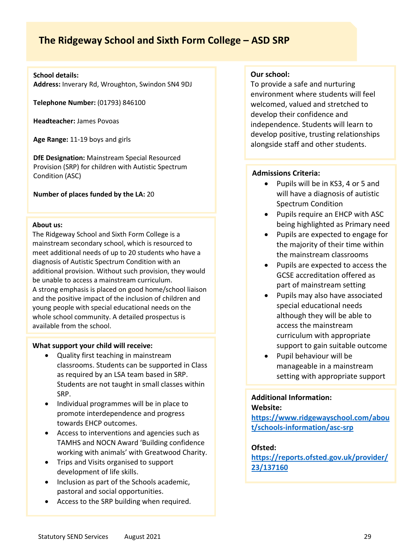# **The Ridgeway School and Sixth Form College – ASD SRP**

### **School details:**

**Address:** Inverary Rd, Wroughton, Swindon SN4 9DJ

**Telephone Number:** (01793) 846100

**Headteacher:** James Povoas

**Age Range:** 11-19 boys and girls

**DfE Designation:** Mainstream Special Resourced Provision (SRP) for children with Autistic Spectrum Condition (ASC)

**Number of places funded by the LA:** 20

### **About us:**

The Ridgeway School and Sixth Form College is a mainstream secondary school, which is resourced to meet additional needs of up to 20 students who have a diagnosis of Autistic Spectrum Condition with an additional provision. Without such provision, they would be unable to access a mainstream curriculum. A strong emphasis is placed on good home/school liaison and the positive impact of the inclusion of children and young people with special educational needs on the whole school community. A detailed prospectus is available from the school.

### **What support your child will receive:**

- Quality first teaching in mainstream classrooms. Students can be supported in Class as required by an LSA team based in SRP. Students are not taught in small classes within SRP.
- Individual programmes will be in place to promote interdependence and progress towards EHCP outcomes.
- Access to interventions and agencies such as TAMHS and NOCN Award 'Building confidence working with animals' with Greatwood Charity.
- Trips and Visits organised to support development of life skills.
- Inclusion as part of the Schools academic, pastoral and social opportunities.
- Access to the SRP building when required.

### **Our school:**

To provide a safe and nurturing environment where students will feel welcomed, valued and stretched to develop their confidence and independence. Students will learn to develop positive, trusting relationships alongside staff and other students.

### **Admissions Criteria:**

- Pupils will be in KS3, 4 or 5 and will have a diagnosis of autistic Spectrum Condition
- Pupils require an EHCP with ASC being highlighted as Primary need
- Pupils are expected to engage for the majority of their time within the mainstream classrooms
- Pupils are expected to access the GCSE accreditation offered as part of mainstream setting
- Pupils may also have associated special educational needs although they will be able to access the mainstream curriculum with appropriate support to gain suitable outcome
- Pupil behaviour will be manageable in a mainstream setting with appropriate support

### **Additional Information: Website:**

**[https://www.ridgewayschool.com/abou](https://www.ridgewayschool.com/about/schools-information/asc-srp) [t/schools-information/asc-srp](https://www.ridgewayschool.com/about/schools-information/asc-srp)**

### **Ofsted:**

**[https://reports.ofsted.gov.uk/provider/](https://reports.ofsted.gov.uk/provider/23/137160) [23/137160](https://reports.ofsted.gov.uk/provider/23/137160)**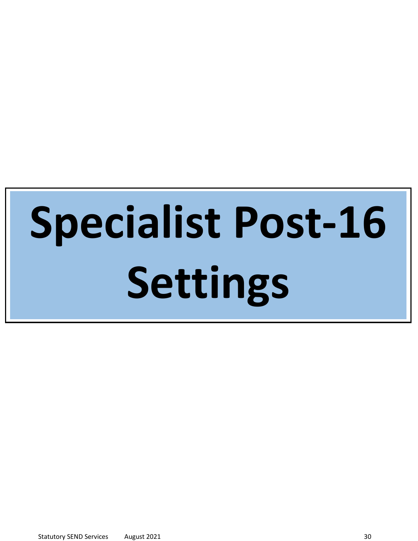# **Specialist Post-16 Settings**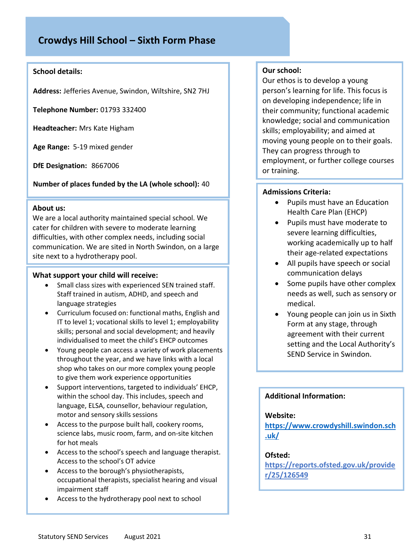# **Crowdys Hill School – Sixth Form Phase**

### **School details:**

**Address:** Jefferies Avenue, Swindon, Wiltshire, SN2 7HJ

**Telephone Number:** 01793 332400

**Headteacher:** Mrs Kate Higham

**Age Range:** 5-19 mixed gender

**DfE Designation:** 8667006

**Number of places funded by the LA (whole school):** 40

### **About us:**

We are a local authority maintained special school. We cater for children with severe to moderate learning difficulties, with other complex needs, including social communication. We are sited in North Swindon, on a large site next to a hydrotherapy pool.

### **What support your child will receive:**

- Small class sizes with experienced SEN trained staff. Staff trained in autism, ADHD, and speech and language strategies
- Curriculum focused on: functional maths, English and IT to level 1; vocational skills to level 1; employability skills; personal and social development; and heavily individualised to meet the child's EHCP outcomes
- Young people can access a variety of work placements throughout the year, and we have links with a local shop who takes on our more complex young people to give them work experience opportunities
- Support interventions, targeted to individuals' EHCP, within the school day. This includes, speech and language, ELSA, counsellor, behaviour regulation, motor and sensory skills sessions
- Access to the purpose built hall, cookery rooms, science labs, music room, farm, and on-site kitchen for hot meals
- Access to the school's speech and language therapist. Access to the school's OT advice
- Access to the borough's physiotherapists, occupational therapists, specialist hearing and visual impairment staff
- Access to the hydrotherapy pool next to school

### **Our school:**

Our ethos is to develop a young person's learning for life. This focus is on developing independence; life in their community; functional academic knowledge; social and communication skills; employability; and aimed at moving young people on to their goals. They can progress through to employment, or further college courses or training.

### **Admissions Criteria:**

- Pupils must have an Education Health Care Plan (EHCP)
- Pupils must have moderate to severe learning difficulties, working academically up to half their age-related expectations
- All pupils have speech or social communication delays
- Some pupils have other complex needs as well, such as sensory or medical.
- Young people can join us in Sixth Form at any stage, through agreement with their current setting and the Local Authority's SEND Service in Swindon.

### **Additional Information:**

### **Website:**

**[https://www.crowdyshill.swindon.sch](https://www.crowdyshill.swindon.sch.uk/) [.uk/](https://www.crowdyshill.swindon.sch.uk/)**

### **Ofsted:**

**[https://reports.ofsted.gov.uk/provide](https://reports.ofsted.gov.uk/provider/25/126549) [r/25/126549](https://reports.ofsted.gov.uk/provider/25/126549)**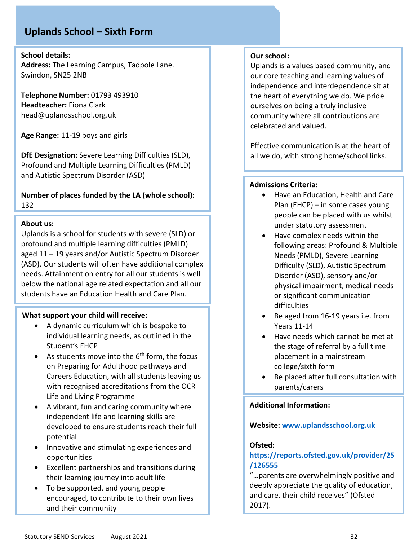# **Uplands School – Sixth Form**

**School details:**

**Address:** The Learning Campus, Tadpole Lane. Swindon, SN25 2NB

**Telephone Number:** 01793 493910 **Headteacher:** Fiona Clark head@uplandsschool.org.uk

**Age Range:** 11-19 boys and girls

**DfE Designation:** Severe Learning Difficulties (SLD), Profound and Multiple Learning Difficulties (PMLD) and Autistic Spectrum Disorder (ASD)

**Number of places funded by the LA (whole school):**  132

### **About us:**

Uplands is a school for students with severe (SLD) or profound and multiple learning difficulties (PMLD) aged 11 – 19 years and/or Autistic Spectrum Disorder (ASD). Our students will often have additional complex needs. Attainment on entry for all our students is well below the national age related expectation and all our students have an Education Health and Care Plan.

### **What support your child will receive:**

- A dynamic curriculum which is bespoke to individual learning needs, as outlined in the Student's EHCP
- As students move into the  $6<sup>th</sup>$  form, the focus on Preparing for Adulthood pathways and Careers Education, with all students leaving us with recognised accreditations from the OCR Life and Living Programme
- A vibrant, fun and caring community where independent life and learning skills are developed to ensure students reach their full potential
- Innovative and stimulating experiences and opportunities
- Excellent partnerships and transitions during their learning journey into adult life
- To be supported, and young people encouraged, to contribute to their own lives and their community

### **Our school:**

Uplands is a values based community, and our core teaching and learning values of independence and interdependence sit at the heart of everything we do. We pride ourselves on being a truly inclusive community where all contributions are celebrated and valued.

Effective communication is at the heart of all we do, with strong home/school links.

### **Admissions Criteria:**

- Have an Education, Health and Care Plan (EHCP) – in some cases young people can be placed with us whilst under statutory assessment
- Have complex needs within the following areas: Profound & Multiple Needs (PMLD), Severe Learning Difficulty (SLD), Autistic Spectrum Disorder (ASD), sensory and/or physical impairment, medical needs or significant communication difficulties
- Be aged from 16-19 years i.e. from Years 11-14
- Have needs which cannot be met at the stage of referral by a full time placement in a mainstream college/sixth form
- Be placed after full consultation with parents/carers

### **Additional Information:**

### **Website: [www.uplandsschool.org.uk](http://www.uplandsschool.org.uk/)**

### **Ofsted:**

### **[https://reports.ofsted.gov.uk/provider/25](https://reports.ofsted.gov.uk/provider/25/126555) [/126555](https://reports.ofsted.gov.uk/provider/25/126555)**

"…parents are overwhelmingly positive and deeply appreciate the quality of education, and care, their child receives" (Ofsted 2017).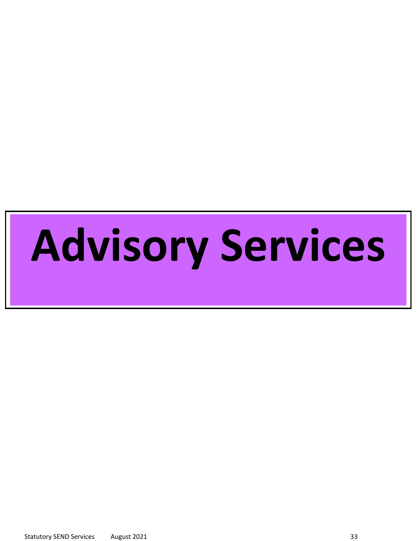# **Advisory Services**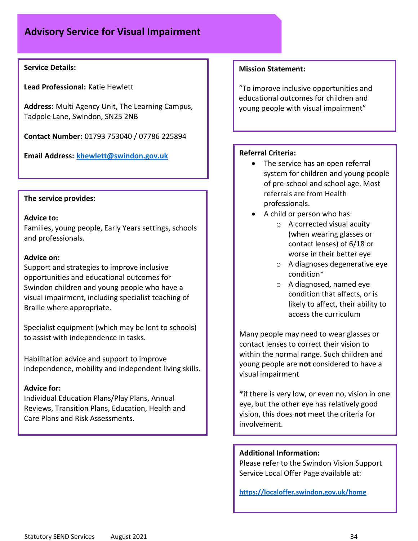### **Service Details:**

**Lead Professional:** Katie Hewlett

**Address:** Multi Agency Unit, The Learning Campus, Tadpole Lane, Swindon, SN25 2NB

**Contact Number:** 01793 753040 / 07786 225894

**Email Address: [khewlett@swindon.gov.uk](mailto:khewlett@swindon.gov.uk)**

### **The service provides:**

### **Advice to:**

Families, young people, Early Years settings, schools and professionals.

### **Advice on:**

Support and strategies to improve inclusive opportunities and educational outcomes for Swindon children and young people who have a visual impairment, including specialist teaching of Braille where appropriate.

Specialist equipment (which may be lent to schools) to assist with independence in tasks.

Habilitation advice and support to improve independence, mobility and independent living skills.

### **Advice for:**

Individual Education Plans/Play Plans, Annual Reviews, Transition Plans, Education, Health and Care Plans and Risk Assessments.

### **Mission Statement:**

"To improve inclusive opportunities and educational outcomes for children and young people with visual impairment"

### **Referral Criteria:**

- The service has an open referral system for children and young people of pre-school and school age. Most referrals are from Health professionals.
- A child or person who has:
	- o A corrected visual acuity (when wearing glasses or contact lenses) of 6/18 or worse in their better eye
	- o A diagnoses degenerative eye condition\*
	- o A diagnosed, named eye condition that affects, or is likely to affect, their ability to access the curriculum

Many people may need to wear glasses or contact lenses to correct their vision to within the normal range. Such children and young people are **not** considered to have a visual impairment

\*if there is very low, or even no, vision in one eye, but the other eye has relatively good vision, this does **not** meet the criteria for involvement.

### **Additional Information:**

Please refer to the Swindon Vision Support Service Local Offer Page available at:

**<https://localoffer.swindon.gov.uk/home>**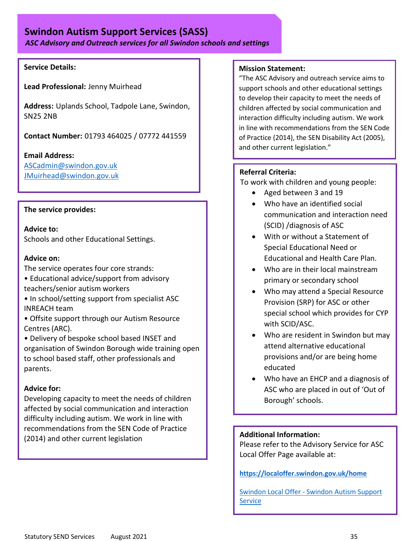# **Swindon Autism Support Services (SASS)**

*ASC Advisory and Outreach services for all Swindon schools and settings*

### **Service Details:**

**Lead Professional:** Jenny Muirhead

**Address:** Uplands School, Tadpole Lane, Swindon, SN25 2NB

**Contact Number:** 01793 464025 / 07772 441559

**Email Address:**

[ASCadmin@swindon.gov.uk](mailto:ASCadmin@swindon.gov.uk) [JMuirhead@swindon.gov.uk](mailto:JMuirhead@swindon.gov.uk)

### **The service provides:**

**Advice to:**  Schools and other Educational Settings.

### **Advice on:**

- The service operates four core strands:
- Educational advice/support from advisory teachers/senior autism workers
- In school/setting support from specialist ASC INREACH team
- Offsite support through our Autism Resource Centres (ARC).
- Delivery of bespoke school based INSET and organisation of Swindon Borough wide training open to school based staff, other professionals and parents.

### **Advice for:**

Developing capacity to meet the needs of children affected by social communication and interaction difficulty including autism. We work in line with recommendations from the SEN Code of Practice (2014) and other current legislation

### **Mission Statement:**

"The ASC Advisory and outreach service aims to support schools and other educational settings to develop their capacity to meet the needs of children affected by social communication and interaction difficulty including autism. We work in line with recommendations from the SEN Code of Practice (2014), the SEN Disability Act (2005), and other current legislation."

### **Referral Criteria:**

To work with children and young people:

- Aged between 3 and 19
- Who have an identified social communication and interaction need (SCID) /diagnosis of ASC
- With or without a Statement of Special Educational Need or Educational and Health Care Plan.
- Who are in their local mainstream primary or secondary school
- Who may attend a Special Resource Provision (SRP) for ASC or other special school which provides for CYP with SCID/ASC.
- Who are resident in Swindon but may attend alternative educational provisions and/or are being home educated
- Who have an EHCP and a diagnosis of ASC who are placed in out of 'Out of Borough' schools.

### **Additional Information:**

Please refer to the Advisory Service for ASC Local Offer Page available at:

**<https://localoffer.swindon.gov.uk/home>**

Swindon Local Offer - [Swindon Autism Support](https://localoffer.swindon.gov.uk/directory/providerdetails/217822)  [Service](https://localoffer.swindon.gov.uk/directory/providerdetails/217822)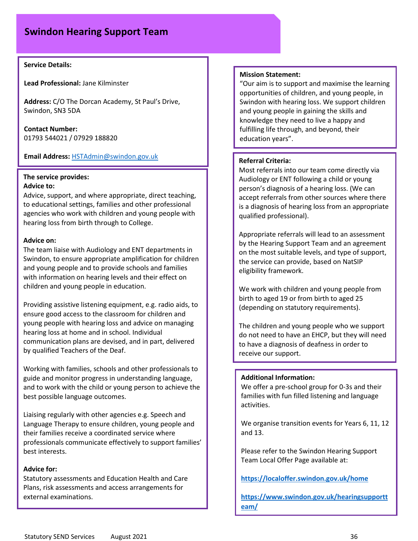# **Swindon Hearing Support Team**

### **Service Details:**

**Lead Professional:** Jane Kilminster

**Address:** C/O The Dorcan Academy, St Paul's Drive, Swindon, SN3 5DA

**Contact Number:**  01793 544021 / 07929 188820

### **Email Address:** [HSTAdmin@swindon.gov.uk](mailto:HSTAdmin@swindon.gov.uk)

### **The service provides: Advice to:**

Advice, support, and where appropriate, direct teaching, to educational settings, families and other professional agencies who work with children and young people with hearing loss from birth through to College.

### **Advice on:**

The team liaise with Audiology and ENT departments in Swindon, to ensure appropriate amplification for children and young people and to provide schools and families with information on hearing levels and their effect on children and young people in education.

Providing assistive listening equipment, e.g. radio aids, to ensure good access to the classroom for children and young people with hearing loss and advice on managing hearing loss at home and in school. Individual communication plans are devised, and in part, delivered by qualified Teachers of the Deaf.

Working with families, schools and other professionals to guide and monitor progress in understanding language, and to work with the child or young person to achieve the best possible language outcomes.

Liaising regularly with other agencies e.g. Speech and Language Therapy to ensure children, young people and their families receive a coordinated service where professionals communicate effectively to support families' best interests.

### **Advice for:**

Statutory assessments and Education Health and Care Plans, risk assessments and access arrangements for external examinations.

### **Mission Statement:**

"Our aim is to support and maximise the learning opportunities of children, and young people, in Swindon with hearing loss. We support children and young people in gaining the skills and knowledge they need to live a happy and fulfilling life through, and beyond, their education years".

### **Referral Criteria:**

Most referrals into our team come directly via Audiology or ENT following a child or young person's diagnosis of a hearing loss. (We can accept referrals from other sources where there is a diagnosis of hearing loss from an appropriate qualified professional).

Appropriate referrals will lead to an assessment by the Hearing Support Team and an agreement on the most suitable levels, and type of support, the service can provide, based on NatSIP eligibility framework.

We work with children and young people from birth to aged 19 or from birth to aged 25 (depending on statutory requirements).

The children and young people who we support do not need to have an EHCP, but they will need to have a diagnosis of deafness in order to receive our support.

### **Additional Information:**

We offer a pre-school group for 0-3s and their families with fun filled listening and language activities.

We organise transition events for Years 6, 11, 12 and 13.

Please refer to the Swindon Hearing Support Team Local Offer Page available at:

**<https://localoffer.swindon.gov.uk/home>**

**[https://www.swindon.gov.uk/hearingsupportt](https://www.swindon.gov.uk/hearingsupportteam/) [eam/](https://www.swindon.gov.uk/hearingsupportteam/)**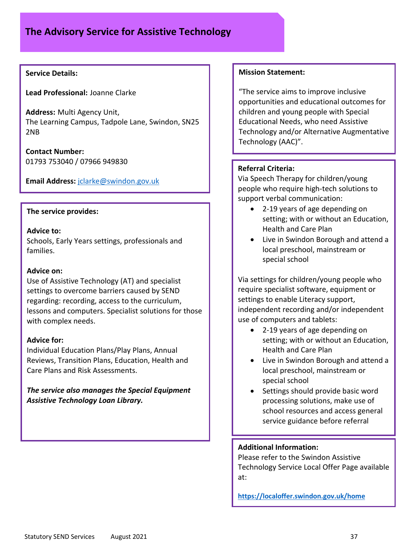### **Service Details:**

**Lead Professional:** Joanne Clarke

**Address:** Multi Agency Unit, The Learning Campus, Tadpole Lane, Swindon, SN25 2NB

**Contact Number:**  01793 753040 / 07966 949830

**Email Address:** [jclarke@swindon.gov.uk](mailto:jclarke@swindon.gov.uk)

### **The service provides:**

### **Advice to:**

Schools, Early Years settings, professionals and families.

### **Advice on:**

Use of Assistive Technology (AT) and specialist settings to overcome barriers caused by SEND regarding: recording, access to the curriculum, lessons and computers. Specialist solutions for those with complex needs.

### **Advice for:**

Individual Education Plans/Play Plans, Annual Reviews, Transition Plans, Education, Health and Care Plans and Risk Assessments.

*The service also manages the Special Equipment Assistive Technology Loan Library.*

### **Mission Statement:**

"The service aims to improve inclusive opportunities and educational outcomes for children and young people with Special Educational Needs, who need Assistive Technology and/or Alternative Augmentative Technology (AAC)".

### **Referral Criteria:**

Via Speech Therapy for children/young people who require high-tech solutions to support verbal communication:

- 2-19 years of age depending on setting; with or without an Education, Health and Care Plan
- Live in Swindon Borough and attend a local preschool, mainstream or special school

Via settings for children/young people who require specialist software, equipment or settings to enable Literacy support, independent recording and/or independent use of computers and tablets:

- 2-19 years of age depending on setting; with or without an Education, Health and Care Plan
- Live in Swindon Borough and attend a local preschool, mainstream or special school
- Settings should provide basic word processing solutions, make use of school resources and access general service guidance before referral

### **Additional Information:**

Please refer to the Swindon Assistive Technology Service Local Offer Page available at:

**<https://localoffer.swindon.gov.uk/home>**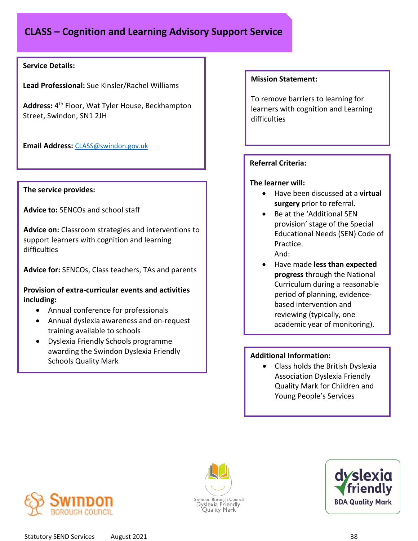# **CLASS – Cognition and Learning Advisory Support Service**

### **Service Details:**

**Lead Professional:** Sue Kinsler/Rachel Williams

Address: 4<sup>th</sup> Floor, Wat Tyler House, Beckhampton Street, Swindon, SN1 2JH

**Email Address:** [CLASS@swindon.gov.uk](mailto:CLASS@swindon.gov.uk)

### **The service provides:**

**Advice to:** SENCOs and school staff

**Advice on:** Classroom strategies and interventions to support learners with cognition and learning difficulties

**Advice for:** SENCOs, Class teachers, TAs and parents

**Provision of extra-curricular events and activities including:** 

- Annual conference for professionals
- Annual dyslexia awareness and on-request training available to schools
- Dyslexia Friendly Schools programme awarding the Swindon Dyslexia Friendly Schools Quality Mark

### **Mission Statement:**

To remove barriers to learning for learners with cognition and Learning difficulties

### **Referral Criteria:**

### **The learner will:**

- Have been discussed at a **virtual surgery** prior to referral.
- Be at the 'Additional SEN provision' stage of the Special Educational Needs (SEN) Code of Practice. And:
- Have made **less than expected progress** through the National Curriculum during a reasonable period of planning, evidencebased intervention and reviewing (typically, one academic year of monitoring).

### **Additional Information:**

• Class holds the British Dyslexia Association Dyslexia Friendly Quality Mark for Children and Young People's Services





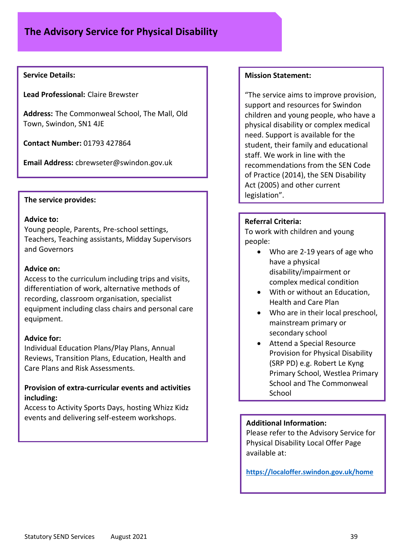### **Service Details:**

**Lead Professional:** Claire Brewster

**Address:** The Commonweal School, The Mall, Old Town, Swindon, SN1 4JE

**Contact Number:** 01793 427864

**Email Address:** cbrewseter@swindon.gov.uk

### **The service provides:**

### **Advice to:**

Young people, Parents, Pre-school settings, Teachers, Teaching assistants, Midday Supervisors and Governors

### **Advice on:**

Access to the curriculum including trips and visits, differentiation of work, alternative methods of recording, classroom organisation, specialist equipment including class chairs and personal care equipment.

### **Advice for:**

Individual Education Plans/Play Plans, Annual Reviews, Transition Plans, Education, Health and Care Plans and Risk Assessments.

### **Provision of extra-curricular events and activities including:**

Access to Activity Sports Days, hosting Whizz Kidz events and delivering self-esteem workshops.

### **Mission Statement:**

"The service aims to improve provision, support and resources for Swindon children and young people, who have a physical disability or complex medical need. Support is available for the student, their family and educational staff. We work in line with the recommendations from the SEN Code of Practice (2014), the SEN Disability Act (2005) and other current legislation".

### **Referral Criteria:**

To work with children and young people:

- Who are 2-19 years of age who have a physical disability/impairment or complex medical condition
- With or without an Education, Health and Care Plan
- Who are in their local preschool, mainstream primary or secondary school
- Attend a Special Resource Provision for Physical Disability (SRP PD) e.g. Robert Le Kyng Primary School, Westlea Primary School and The Commonweal School

### **Additional Information:**

Please refer to the Advisory Service for Physical Disability Local Offer Page available at:

**<https://localoffer.swindon.gov.uk/home>**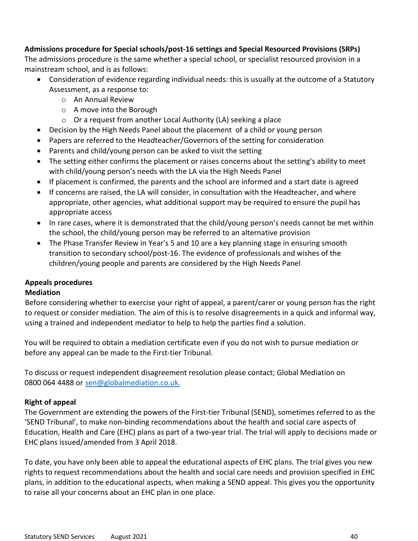### **Admissions procedure for Special schools/post-16 settings and Special Resourced Provisions (SRPs)**

The admissions procedure is the same whether a special school, or specialist resourced provision in a mainstream school, and is as follows:

- Consideration of evidence regarding individual needs: this is usually at the outcome of a Statutory Assessment, as a response to:
	- o An Annual Review
	- o A move into the Borough
	- o Or a request from another Local Authority (LA) seeking a place
- Decision by the High Needs Panel about the placement of a child or young person
- Papers are referred to the Headteacher/Governors of the setting for consideration
- Parents and child/young person can be asked to visit the setting
- The setting either confirms the placement or raises concerns about the setting's ability to meet with child/young person's needs with the LA via the High Needs Panel
- If placement is confirmed, the parents and the school are informed and a start date is agreed
- If concerns are raised, the LA will consider, in consultation with the Headteacher, and where appropriate, other agencies, what additional support may be required to ensure the pupil has appropriate access
- In rare cases, where it is demonstrated that the child/young person's needs cannot be met within the school, the child/young person may be referred to an alternative provision
- The Phase Transfer Review in Year's 5 and 10 are a key planning stage in ensuring smooth transition to secondary school/post-16. The evidence of professionals and wishes of the children/young people and parents are considered by the High Needs Panel

### **Appeals procedures**

### **Mediation**

Before considering whether to exercise your right of appeal, a parent/carer or young person has the right to request or consider mediation. The aim of this is to resolve disagreements in a quick and informal way, using a trained and independent mediator to help to help the parties find a solution.

You will be required to obtain a mediation certificate even if you do not wish to pursue mediation or before any appeal can be made to the First-tier Tribunal.

To discuss or request independent disagreement resolution please contact; Global Mediation on 0800 064 4488 or sen@globalmediation.co.uk.

### **Right of appeal**

The Government are extending the powers of the First-tier Tribunal (SEND), sometimes referred to as the 'SEND Tribunal', to make non-binding recommendations about the health and social care aspects of Education, Health and Care (EHC) plans as part of a two-year trial. The trial will apply to decisions made or EHC plans issued/amended from 3 April 2018.

To date, you have only been able to appeal the educational aspects of EHC plans. The trial gives you new rights to request recommendations about the health and social care needs and provision specified in EHC plans, in addition to the educational aspects, when making a SEND appeal. This gives you the opportunity to raise all your concerns about an EHC plan in one place.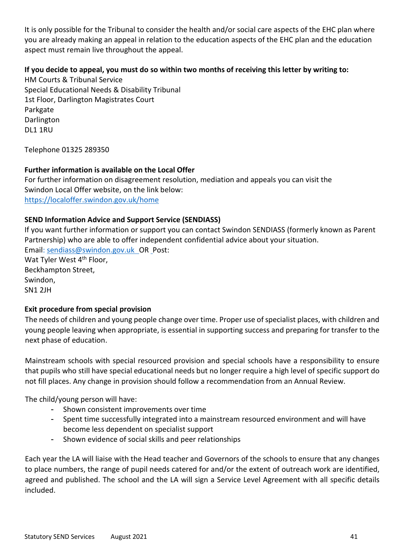It is only possible for the Tribunal to consider the health and/or social care aspects of the EHC plan where you are already making an appeal in relation to the education aspects of the EHC plan and the education aspect must remain live throughout the appeal.

### **If you decide to appeal, you must do so within two months of receiving this letter by writing to:**

HM Courts & Tribunal Service Special Educational Needs & Disability Tribunal 1st Floor, Darlington Magistrates Court Parkgate Darlington DL1 1RU

Telephone 01325 289350

### **Further information is available on the Local Offer**

For further information on disagreement resolution, mediation and appeals you can visit the Swindon Local Offer website, on the link below: <https://localoffer.swindon.gov.uk/home>

### **SEND Information Advice and Support Service (SENDIASS)**

If you want further information or support you can contact Swindon SENDIASS (formerly known as Parent Partnership) who are able to offer independent confidential advice about your situation. Email: sendiass@swindon.gov.uk OR Post: Wat Tyler West 4<sup>th</sup> Floor, Beckhampton Street, Swindon, SN1 2JH

### **Exit procedure from special provision**

The needs of children and young people change over time. Proper use of specialist places, with children and young people leaving when appropriate, is essential in supporting success and preparing for transfer to the next phase of education.

Mainstream schools with special resourced provision and special schools have a responsibility to ensure that pupils who still have special educational needs but no longer require a high level of specific support do not fill places. Any change in provision should follow a recommendation from an Annual Review.

The child/young person will have:

- Shown consistent improvements over time
- Spent time successfully integrated into a mainstream resourced environment and will have become less dependent on specialist support
- Shown evidence of social skills and peer relationships

Each year the LA will liaise with the Head teacher and Governors of the schools to ensure that any changes to place numbers, the range of pupil needs catered for and/or the extent of outreach work are identified, agreed and published. The school and the LA will sign a Service Level Agreement with all specific details included.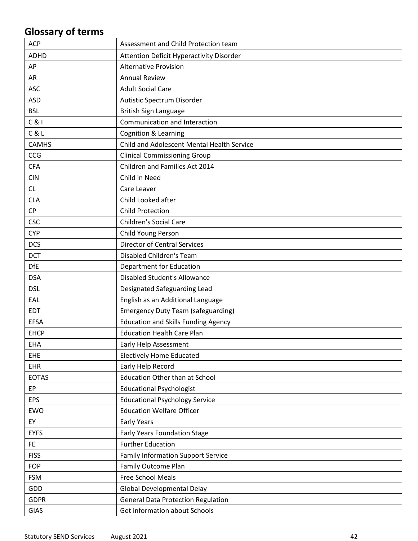# **Glossary of terms**

| <b>ACP</b>   | Assessment and Child Protection team       |
|--------------|--------------------------------------------|
| <b>ADHD</b>  | Attention Deficit Hyperactivity Disorder   |
| AP           | <b>Alternative Provision</b>               |
| AR           | <b>Annual Review</b>                       |
| <b>ASC</b>   | <b>Adult Social Care</b>                   |
| <b>ASD</b>   | Autistic Spectrum Disorder                 |
| <b>BSL</b>   | British Sign Language                      |
| C & 1        | Communication and Interaction              |
| C & L        | <b>Cognition &amp; Learning</b>            |
| <b>CAMHS</b> | Child and Adolescent Mental Health Service |
| CCG          | <b>Clinical Commissioning Group</b>        |
| <b>CFA</b>   | Children and Families Act 2014             |
| <b>CIN</b>   | Child in Need                              |
| CL           | Care Leaver                                |
| <b>CLA</b>   | Child Looked after                         |
| <b>CP</b>    | <b>Child Protection</b>                    |
| <b>CSC</b>   | <b>Children's Social Care</b>              |
| <b>CYP</b>   | Child Young Person                         |
| <b>DCS</b>   | <b>Director of Central Services</b>        |
| <b>DCT</b>   | Disabled Children's Team                   |
| <b>DfE</b>   | <b>Department for Education</b>            |
| <b>DSA</b>   | <b>Disabled Student's Allowance</b>        |
| <b>DSL</b>   | Designated Safeguarding Lead               |
| EAL          | English as an Additional Language          |
| <b>EDT</b>   | <b>Emergency Duty Team (safeguarding)</b>  |
| <b>EFSA</b>  | <b>Education and Skills Funding Agency</b> |
| <b>EHCP</b>  | <b>Education Health Care Plan</b>          |
| <b>EHA</b>   | Early Help Assessment                      |
| <b>EHE</b>   | <b>Electively Home Educated</b>            |
| <b>EHR</b>   | Early Help Record                          |
| <b>EOTAS</b> | <b>Education Other than at School</b>      |
| <b>EP</b>    | <b>Educational Psychologist</b>            |
| <b>EPS</b>   | <b>Educational Psychology Service</b>      |
| EWO          | <b>Education Welfare Officer</b>           |
| EY           | <b>Early Years</b>                         |
| <b>EYFS</b>  | Early Years Foundation Stage               |
| FE           | <b>Further Education</b>                   |
| <b>FISS</b>  | <b>Family Information Support Service</b>  |
| <b>FOP</b>   | Family Outcome Plan                        |
| <b>FSM</b>   | Free School Meals                          |
| GDD          | Global Developmental Delay                 |
| <b>GDPR</b>  | <b>General Data Protection Regulation</b>  |
| <b>GIAS</b>  | Get information about Schools              |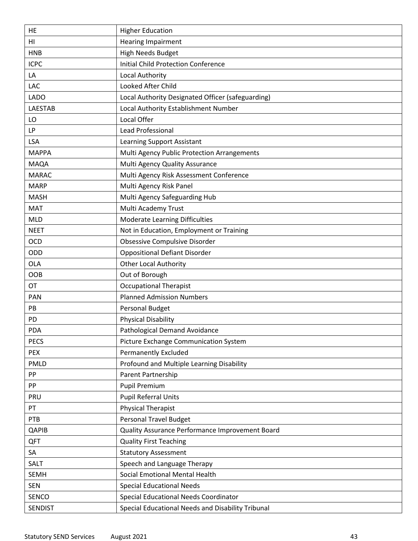| HE             | <b>Higher Education</b>                           |
|----------------|---------------------------------------------------|
| H <sub>l</sub> | <b>Hearing Impairment</b>                         |
| <b>HNB</b>     | <b>High Needs Budget</b>                          |
| <b>ICPC</b>    | <b>Initial Child Protection Conference</b>        |
| LA             | Local Authority                                   |
| LAC            | Looked After Child                                |
| <b>LADO</b>    | Local Authority Designated Officer (safeguarding) |
| <b>LAESTAB</b> | Local Authority Establishment Number              |
| LO             | Local Offer                                       |
| LP             | Lead Professional                                 |
| <b>LSA</b>     | Learning Support Assistant                        |
| <b>MAPPA</b>   | Multi Agency Public Protection Arrangements       |
| <b>MAQA</b>    | Multi Agency Quality Assurance                    |
| <b>MARAC</b>   | Multi Agency Risk Assessment Conference           |
| <b>MARP</b>    | Multi Agency Risk Panel                           |
| <b>MASH</b>    | Multi Agency Safeguarding Hub                     |
| <b>MAT</b>     | Multi Academy Trust                               |
| <b>MLD</b>     | Moderate Learning Difficulties                    |
| <b>NEET</b>    | Not in Education, Employment or Training          |
| <b>OCD</b>     | Obsessive Compulsive Disorder                     |
| ODD            | <b>Oppositional Defiant Disorder</b>              |
| <b>OLA</b>     | <b>Other Local Authority</b>                      |
| <b>OOB</b>     | Out of Borough                                    |
| <b>OT</b>      | <b>Occupational Therapist</b>                     |
| <b>PAN</b>     | <b>Planned Admission Numbers</b>                  |
| PB             | <b>Personal Budget</b>                            |
| PD             | <b>Physical Disability</b>                        |
| <b>PDA</b>     | Pathological Demand Avoidance                     |
| <b>PECS</b>    | Picture Exchange Communication System             |
| <b>PEX</b>     | <b>Permanently Excluded</b>                       |
| <b>PMLD</b>    | Profound and Multiple Learning Disability         |
| PP             | Parent Partnership                                |
| PP             | <b>Pupil Premium</b>                              |
| PRU            | <b>Pupil Referral Units</b>                       |
| PT             | <b>Physical Therapist</b>                         |
| PTB            | <b>Personal Travel Budget</b>                     |
| QAPIB          | Quality Assurance Performance Improvement Board   |
| <b>QFT</b>     | <b>Quality First Teaching</b>                     |
| SA             | <b>Statutory Assessment</b>                       |
| SALT           | Speech and Language Therapy                       |
| <b>SEMH</b>    | Social Emotional Mental Health                    |
| <b>SEN</b>     | <b>Special Educational Needs</b>                  |
| SENCO          | Special Educational Needs Coordinator             |
| <b>SENDIST</b> | Special Educational Needs and Disability Tribunal |